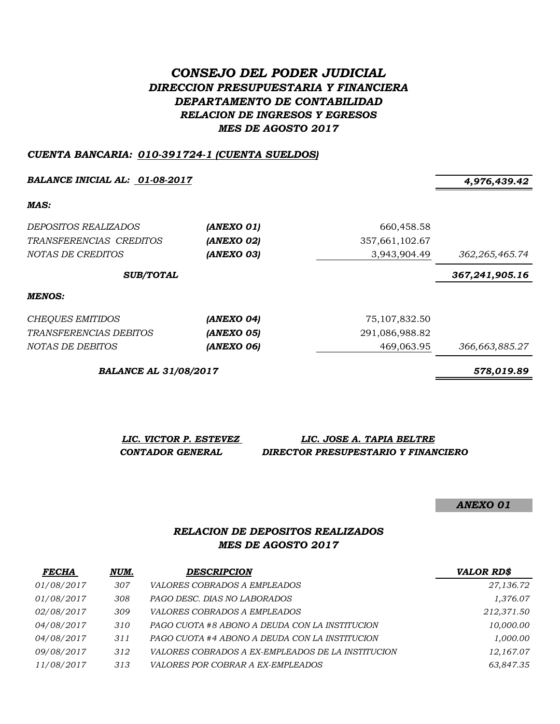# *CONSEJO DEL PODER JUDICIAL DIRECCION PRESUPUESTARIA Y FINANCIERA DEPARTAMENTO DE CONTABILIDAD RELACION DE INGRESOS Y EGRESOS MES DE AGOSTO 2017*

#### *CUENTA BANCARIA: 010-391724-1 (CUENTA SUELDOS)*

*BALANCE INICIAL AL: 01-08-2017 4,976,439.42*

*MAS:*

| <i>DEPOSITOS REALIZADOS</i><br>TRANSFERENCIAS CREDITOS<br>NOTAS DE CREDITOS | (ANEXO 01)<br>(ANEXO 02)<br>(ANEXO 03) | 660,458.58<br>357,661,102.67<br>3,943,904.49 | 362, 265, 465.74 |
|-----------------------------------------------------------------------------|----------------------------------------|----------------------------------------------|------------------|
| <b>SUB/TOTAL</b>                                                            |                                        |                                              | 367,241,905.16   |
| MENOS:                                                                      |                                        |                                              |                  |
| <b>CHEQUES EMITIDOS</b>                                                     | (ANEXO 04)                             | 75, 107, 832.50                              |                  |
| TRANSFERENCIAS DEBITOS                                                      | (ANEXO 05)                             | 291,086,988.82                               |                  |
| NOTAS DE DEBITOS                                                            | (ANEXO 06)                             | 469,063.95                                   | 366,663,885.27   |

*BALANCE AL 31/08/2017 578,019.89*

*LIC. VICTOR P. ESTEVEZ LIC. JOSE A. TAPIA BELTRE CONTADOR GENERAL DIRECTOR PRESUPESTARIO Y FINANCIERO*

*ANEXO 01*

### *RELACION DE DEPOSITOS REALIZADOS MES DE AGOSTO 2017*

| <b>FECHA</b> | NUM. | <b>DESCRIPCION</b>                                | <b>VALOR RD\$</b> |
|--------------|------|---------------------------------------------------|-------------------|
| 01/08/2017   | 307  | <i>VALORES COBRADOS A EMPLEADOS</i>               | 27,136.72         |
| 01/08/2017   | 308  | PAGO DESC. DIAS NO LABORADOS                      | 1,376.07          |
| 02/08/2017   | 309  | <i>VALORES COBRADOS A EMPLEADOS</i>               | 212,371.50        |
| 04/08/2017   | 310  | PAGO CUOTA #8 ABONO A DEUDA CON LA INSTITUCION    | 10,000.00         |
| 04/08/2017   | 311  | PAGO CUOTA #4 ABONO A DEUDA CON LA INSTITUCION    | 1,000.00          |
| 09/08/2017   | 312  | VALORES COBRADOS A EX-EMPLEADOS DE LA INSTITUCION | 12,167.07         |
| 11/08/2017   | 313  | <i>VALORES POR COBRAR A EX-EMPLEADOS</i>          | 63,847.35         |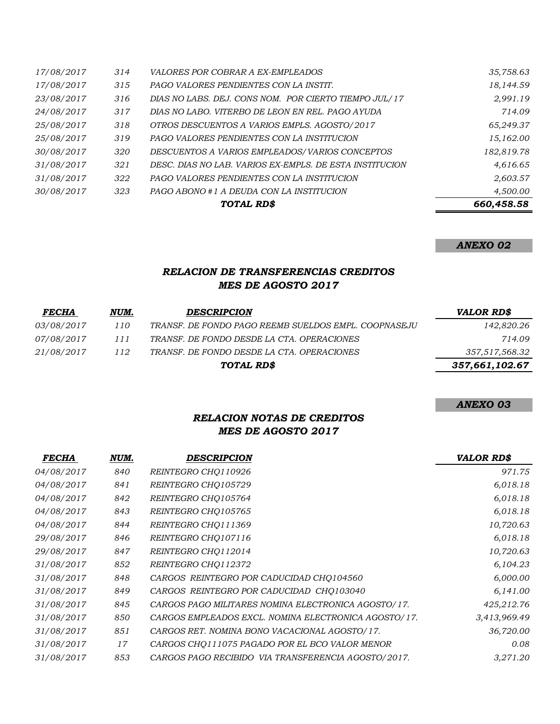|            |     | TOTAL RD\$                                              | 660,458.58 |
|------------|-----|---------------------------------------------------------|------------|
| 30/08/2017 | 323 | PAGO ABONO #1 A DEUDA CON LA INSTITUCION                | 4,500.00   |
| 31/08/2017 | 322 | PAGO VALORES PENDIENTES CON LA INSTITUCION              | 2,603.57   |
| 31/08/2017 | 321 | DESC. DIAS NO LAB. VARIOS EX-EMPLS. DE ESTA INSTITUCION | 4,616.65   |
| 30/08/2017 | 320 | DESCUENTOS A VARIOS EMPLEADOS/VARIOS CONCEPTOS          | 182,819.78 |
| 25/08/2017 | 319 | <b>PAGO VALORES PENDIENTES CON LA INSTITUCION</b>       | 15,162.00  |
| 25/08/2017 | 318 | OTROS DESCUENTOS A VARIOS EMPLS. AGOSTO/2017            | 65,249.37  |
| 24/08/2017 | 317 | DIAS NO LABO. VITERBO DE LEON EN REL. PAGO AYUDA        | 714.09     |
| 23/08/2017 | 316 | DIAS NO LABS. DEJ. CONS NOM. POR CIERTO TIEMPO JUL/17   | 2,991.19   |
| 17/08/2017 | 315 | PAGO VALORES PENDIENTES CON LA INSTIT.                  | 18,144.59  |
| 17/08/2017 | 314 | <i>VALORES POR COBRAR A EX-EMPLEADOS</i>                | 35,758.63  |
|            |     |                                                         |            |

*ANEXO 02*

## *RELACION DE TRANSFERENCIAS CREDITOS MES DE AGOSTO 2017*

| <b>FECHA</b>      | NUM. | <b>DESCRIPCION</b>                                   | <b>VALOR RD\$</b> |
|-------------------|------|------------------------------------------------------|-------------------|
| <i>03/08/2017</i> | 110  | TRANSF. DE FONDO PAGO REEMB SUELDOS EMPL. COOPNASEJU | 142,820.26        |
| <i>07/08/2017</i> | 111  | TRANSF. DE FONDO DESDE LA CTA. OPERACIONES           | 714.09            |
| 21/08/2017        | 112  | TRANSF. DE FONDO DESDE LA CTA. OPERACIONES           | 357,517,568.32    |
|                   |      | TOTAL RD\$                                           | 357,661,102.67    |

#### *ANEXO 03*

### *RELACION NOTAS DE CREDITOS MES DE AGOSTO 2017*

| <b>FECHA</b> | NUM. | <b>DESCRIPCION</b>                                   | <b>VALOR RD\$</b> |
|--------------|------|------------------------------------------------------|-------------------|
| 04/08/2017   | 840  | REINTEGRO CHO110926                                  | 971.75            |
| 04/08/2017   | 841  | REINTEGRO CHO105729                                  | 6,018.18          |
| 04/08/2017   | 842  | REINTEGRO CHO105764                                  | 6,018.18          |
| 04/08/2017   | 843  | REINTEGRO CHO105765                                  | 6,018.18          |
| 04/08/2017   | 844  | REINTEGRO CHO111369                                  | 10,720.63         |
| 29/08/2017   | 846  | REINTEGRO CHQ107116                                  | 6,018.18          |
| 29/08/2017   | 847  | REINTEGRO CHQ112014                                  | 10,720.63         |
| 31/08/2017   | 852  | REINTEGRO CHQ112372                                  | 6,104.23          |
| 31/08/2017   | 848  | CARGOS REINTEGRO POR CADUCIDAD CHO104560             | 6,000.00          |
| 31/08/2017   | 849  | CARGOS REINTEGRO POR CADUCIDAD CHO103040             | 6,141.00          |
| 31/08/2017   | 845  | CARGOS PAGO MILITARES NOMINA ELECTRONICA AGOSTO/17.  | 425,212.76        |
| 31/08/2017   | 850  | CARGOS EMPLEADOS EXCL. NOMINA ELECTRONICA AGOSTO/17. | 3,413,969.49      |
| 31/08/2017   | 851  | CARGOS RET. NOMINA BONO VACACIONAL AGOSTO/17.        | 36,720.00         |
| 31/08/2017   | 17   | CARGOS CHO111075 PAGADO POR EL BCO VALOR MENOR       | 0.08              |
| 31/08/2017   | 853  | CARGOS PAGO RECIBIDO VIA TRANSFERENCIA AGOSTO/2017.  | 3,271.20          |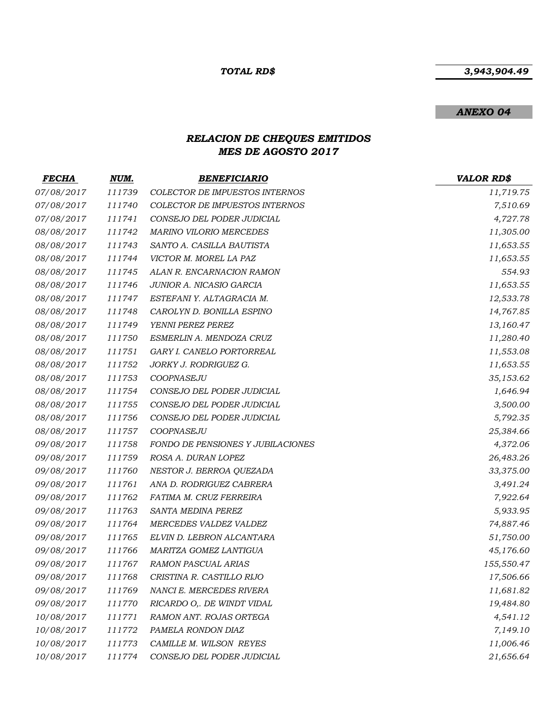### *3,943,904.49*

### *ANEXO 04*

# *RELACION DE CHEQUES EMITIDOS MES DE AGOSTO 2017*

| <i>FECHA</i> | NUM.   | <b>BENEFICIARIO</b>               | <b>VALOR RD\$</b> |
|--------------|--------|-----------------------------------|-------------------|
| 07/08/2017   | 111739 | COLECTOR DE IMPUESTOS INTERNOS    | 11,719.75         |
| 07/08/2017   | 111740 | COLECTOR DE IMPUESTOS INTERNOS    | 7,510.69          |
| 07/08/2017   | 111741 | CONSEJO DEL PODER JUDICIAL        | 4,727.78          |
| 08/08/2017   | 111742 | MARINO VILORIO MERCEDES           | 11,305.00         |
| 08/08/2017   | 111743 | SANTO A. CASILLA BAUTISTA         | 11,653.55         |
| 08/08/2017   | 111744 | VICTOR M. MOREL LA PAZ            | 11,653.55         |
| 08/08/2017   | 111745 | ALAN R. ENCARNACION RAMON         | 554.93            |
| 08/08/2017   | 111746 | JUNIOR A. NICASIO GARCIA          | 11,653.55         |
| 08/08/2017   | 111747 | ESTEFANI Y. ALTAGRACIA M.         | 12,533.78         |
| 08/08/2017   | 111748 | CAROLYN D. BONILLA ESPINO         | 14,767.85         |
| 08/08/2017   | 111749 | YENNI PEREZ PEREZ                 | 13,160.47         |
| 08/08/2017   | 111750 | ESMERLIN A. MENDOZA CRUZ          | 11,280.40         |
| 08/08/2017   | 111751 | GARY I. CANELO PORTORREAL         | 11,553.08         |
| 08/08/2017   | 111752 | JORKY J. RODRIGUEZ G.             | 11,653.55         |
| 08/08/2017   | 111753 | COOPNASEJU                        | 35,153.62         |
| 08/08/2017   | 111754 | CONSEJO DEL PODER JUDICIAL        | 1,646.94          |
| 08/08/2017   | 111755 | CONSEJO DEL PODER JUDICIAL        | 3,500.00          |
| 08/08/2017   | 111756 | CONSEJO DEL PODER JUDICIAL        | 5,792.35          |
| 08/08/2017   | 111757 | COOPNASEJU                        | 25,384.66         |
| 09/08/2017   | 111758 | FONDO DE PENSIONES Y JUBILACIONES | 4,372.06          |
| 09/08/2017   | 111759 | ROSA A. DURAN LOPEZ               | 26,483.26         |
| 09/08/2017   | 111760 | NESTOR J. BERROA QUEZADA          | 33,375.00         |
| 09/08/2017   | 111761 | ANA D. RODRIGUEZ CABRERA          | 3,491.24          |
| 09/08/2017   | 111762 | FATIMA M. CRUZ FERREIRA           | 7,922.64          |
| 09/08/2017   | 111763 | SANTA MEDINA PEREZ                | 5,933.95          |
| 09/08/2017   | 111764 | MERCEDES VALDEZ VALDEZ            | 74,887.46         |
| 09/08/2017   | 111765 | ELVIN D. LEBRON ALCANTARA         | 51,750.00         |
| 09/08/2017   | 111766 | MARITZA GOMEZ LANTIGUA            | 45,176.60         |
| 09/08/2017   | 111767 | RAMON PASCUAL ARIAS               | 155,550.47        |
| 09/08/2017   | 111768 | CRISTINA R. CASTILLO RIJO         | 17,506.66         |
| 09/08/2017   | 111769 | NANCI E. MERCEDES RIVERA          | 11,681.82         |
| 09/08/2017   | 111770 | RICARDO O,. DE WINDT VIDAL        | 19,484.80         |
| 10/08/2017   | 111771 | RAMON ANT. ROJAS ORTEGA           | 4,541.12          |
| 10/08/2017   | 111772 | PAMELA RONDON DIAZ                | 7,149.10          |
| 10/08/2017   | 111773 | CAMILLE M. WILSON REYES           | 11,006.46         |
| 10/08/2017   | 111774 | CONSEJO DEL PODER JUDICIAL        | 21,656.64         |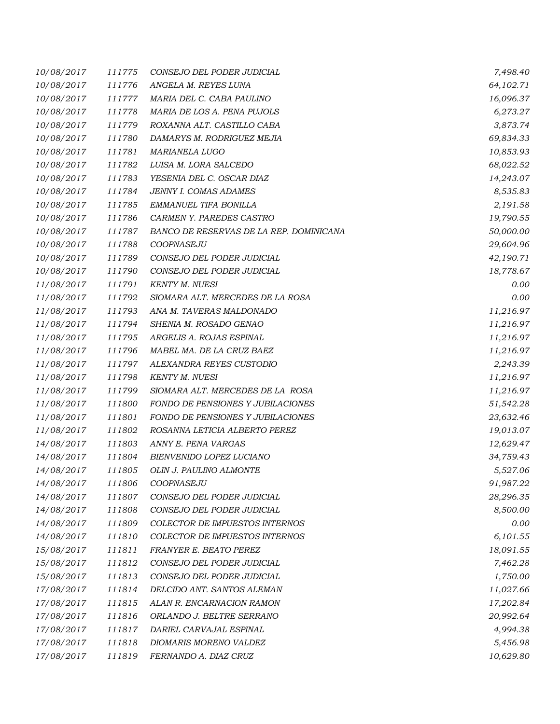| 10/08/2017 | 111775 | CONSEJO DEL PODER JUDICIAL              | 7,498.40  |
|------------|--------|-----------------------------------------|-----------|
| 10/08/2017 | 111776 | ANGELA M. REYES LUNA                    | 64,102.71 |
| 10/08/2017 | 111777 | MARIA DEL C. CABA PAULINO               | 16,096.37 |
| 10/08/2017 | 111778 | MARIA DE LOS A. PENA PUJOLS             | 6,273.27  |
| 10/08/2017 | 111779 | ROXANNA ALT. CASTILLO CABA              | 3,873.74  |
| 10/08/2017 | 111780 | DAMARYS M. RODRIGUEZ MEJIA              | 69,834.33 |
| 10/08/2017 | 111781 | <b>MARIANELA LUGO</b>                   | 10,853.93 |
| 10/08/2017 | 111782 | LUISA M. LORA SALCEDO                   | 68,022.52 |
| 10/08/2017 | 111783 | YESENIA DEL C. OSCAR DIAZ               | 14,243.07 |
| 10/08/2017 | 111784 | <b>JENNY I. COMAS ADAMES</b>            | 8,535.83  |
| 10/08/2017 | 111785 | EMMANUEL TIFA BONILLA                   | 2,191.58  |
| 10/08/2017 | 111786 | CARMEN Y. PAREDES CASTRO                | 19,790.55 |
| 10/08/2017 | 111787 | BANCO DE RESERVAS DE LA REP. DOMINICANA | 50,000.00 |
| 10/08/2017 | 111788 | COOPNASEJU                              | 29,604.96 |
| 10/08/2017 | 111789 | CONSEJO DEL PODER JUDICIAL              | 42,190.71 |
| 10/08/2017 | 111790 | CONSEJO DEL PODER JUDICIAL              | 18,778.67 |
| 11/08/2017 | 111791 | <b>KENTY M. NUESI</b>                   | 0.00      |
| 11/08/2017 | 111792 | SIOMARA ALT. MERCEDES DE LA ROSA        | 0.00      |
| 11/08/2017 | 111793 | ANA M. TAVERAS MALDONADO                | 11,216.97 |
| 11/08/2017 | 111794 | SHENIA M. ROSADO GENAO                  | 11,216.97 |
| 11/08/2017 | 111795 | ARGELIS A. ROJAS ESPINAL                | 11,216.97 |
| 11/08/2017 | 111796 | MABEL MA. DE LA CRUZ BAEZ               | 11,216.97 |
| 11/08/2017 | 111797 | ALEXANDRA REYES CUSTODIO                | 2,243.39  |
| 11/08/2017 | 111798 | <b>KENTY M. NUESI</b>                   | 11,216.97 |
| 11/08/2017 | 111799 | SIOMARA ALT. MERCEDES DE LA ROSA        | 11,216.97 |
| 11/08/2017 | 111800 | FONDO DE PENSIONES Y JUBILACIONES       | 51,542.28 |
| 11/08/2017 | 111801 | FONDO DE PENSIONES Y JUBILACIONES       | 23,632.46 |
| 11/08/2017 | 111802 | ROSANNA LETICIA ALBERTO PEREZ           | 19,013.07 |
| 14/08/2017 | 111803 | ANNY E. PENA VARGAS                     | 12,629.47 |
| 14/08/2017 | 111804 | BIENVENIDO LOPEZ LUCIANO                | 34,759.43 |
| 14/08/2017 | 111805 | OLIN J. PAULINO ALMONTE                 | 5,527.06  |
| 14/08/2017 | 111806 | COOPNASEJU                              | 91,987.22 |
| 14/08/2017 | 111807 | CONSEJO DEL PODER JUDICIAL              | 28,296.35 |
| 14/08/2017 | 111808 | CONSEJO DEL PODER JUDICIAL              | 8,500.00  |
| 14/08/2017 | 111809 | COLECTOR DE IMPUESTOS INTERNOS          | 0.00      |
| 14/08/2017 | 111810 | COLECTOR DE IMPUESTOS INTERNOS          | 6,101.55  |
| 15/08/2017 | 111811 | FRANYER E. BEATO PEREZ                  | 18,091.55 |
| 15/08/2017 | 111812 | CONSEJO DEL PODER JUDICIAL              | 7,462.28  |
| 15/08/2017 | 111813 | CONSEJO DEL PODER JUDICIAL              | 1,750.00  |
| 17/08/2017 | 111814 | DELCIDO ANT. SANTOS ALEMAN              | 11,027.66 |
| 17/08/2017 | 111815 | ALAN R. ENCARNACION RAMON               | 17,202.84 |
| 17/08/2017 | 111816 | ORLANDO J. BELTRE SERRANO               | 20,992.64 |
| 17/08/2017 | 111817 | DARIEL CARVAJAL ESPINAL                 | 4,994.38  |
| 17/08/2017 | 111818 | DIOMARIS MORENO VALDEZ                  | 5,456.98  |
| 17/08/2017 | 111819 | FERNANDO A. DIAZ CRUZ                   | 10,629.80 |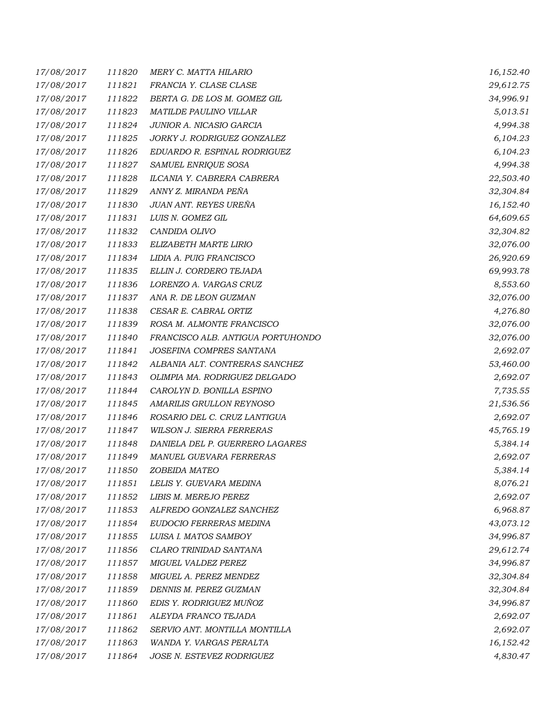| 17/08/2017 | 111820 | MERY C. MATTA HILARIO             | 16,152.40 |
|------------|--------|-----------------------------------|-----------|
| 17/08/2017 | 111821 | FRANCIA Y. CLASE CLASE            | 29,612.75 |
| 17/08/2017 | 111822 | BERTA G. DE LOS M. GOMEZ GIL      | 34,996.91 |
| 17/08/2017 | 111823 | MATILDE PAULINO VILLAR            | 5,013.51  |
| 17/08/2017 | 111824 | JUNIOR A. NICASIO GARCIA          | 4,994.38  |
| 17/08/2017 | 111825 | JORKY J. RODRIGUEZ GONZALEZ       | 6,104.23  |
| 17/08/2017 | 111826 | EDUARDO R. ESPINAL RODRIGUEZ      | 6,104.23  |
| 17/08/2017 | 111827 | SAMUEL ENRIQUE SOSA               | 4,994.38  |
| 17/08/2017 | 111828 | ILCANIA Y. CABRERA CABRERA        | 22,503.40 |
| 17/08/2017 | 111829 | ANNY Z. MIRANDA PEÑA              | 32,304.84 |
| 17/08/2017 | 111830 | JUAN ANT. REYES UREÑA             | 16,152.40 |
| 17/08/2017 | 111831 | LUIS N. GOMEZ GIL                 | 64,609.65 |
| 17/08/2017 | 111832 | CANDIDA OLIVO                     | 32,304.82 |
| 17/08/2017 | 111833 | ELIZABETH MARTE LIRIO             | 32,076.00 |
| 17/08/2017 | 111834 | LIDIA A. PUIG FRANCISCO           | 26,920.69 |
| 17/08/2017 | 111835 | ELLIN J. CORDERO TEJADA           | 69,993.78 |
| 17/08/2017 | 111836 | LORENZO A. VARGAS CRUZ            | 8,553.60  |
| 17/08/2017 | 111837 | ANA R. DE LEON GUZMAN             | 32,076.00 |
| 17/08/2017 | 111838 | CESAR E. CABRAL ORTIZ             | 4,276.80  |
| 17/08/2017 | 111839 | ROSA M. ALMONTE FRANCISCO         | 32,076.00 |
| 17/08/2017 | 111840 | FRANCISCO ALB. ANTIGUA PORTUHONDO | 32,076.00 |
| 17/08/2017 | 111841 | JOSEFINA COMPRES SANTANA          | 2,692.07  |
| 17/08/2017 | 111842 | ALBANIA ALT. CONTRERAS SANCHEZ    | 53,460.00 |
| 17/08/2017 | 111843 | OLIMPIA MA. RODRIGUEZ DELGADO     | 2,692.07  |
| 17/08/2017 | 111844 | CAROLYN D. BONILLA ESPINO         | 7,735.55  |
| 17/08/2017 | 111845 | AMARILIS GRULLON REYNOSO          | 21,536.56 |
| 17/08/2017 | 111846 | ROSARIO DEL C. CRUZ LANTIGUA      | 2,692.07  |
| 17/08/2017 | 111847 | WILSON J. SIERRA FERRERAS         | 45,765.19 |
| 17/08/2017 | 111848 | DANIELA DEL P. GUERRERO LAGARES   | 5,384.14  |
| 17/08/2017 | 111849 | <b>MANUEL GUEVARA FERRERAS</b>    | 2,692.07  |
| 17/08/2017 | 111850 | ZOBEIDA MATEO                     | 5,384.14  |
| 17/08/2017 | 111851 | LELIS Y. GUEVARA MEDINA           | 8,076.21  |
| 17/08/2017 | 111852 | LIBIS M. MEREJO PEREZ             | 2,692.07  |
| 17/08/2017 | 111853 | ALFREDO GONZALEZ SANCHEZ          | 6,968.87  |
| 17/08/2017 | 111854 | EUDOCIO FERRERAS MEDINA           | 43,073.12 |
| 17/08/2017 | 111855 | LUISA I. MATOS SAMBOY             | 34,996.87 |
| 17/08/2017 | 111856 | CLARO TRINIDAD SANTANA            | 29,612.74 |
| 17/08/2017 | 111857 | MIGUEL VALDEZ PEREZ               | 34,996.87 |
| 17/08/2017 | 111858 | MIGUEL A. PEREZ MENDEZ            | 32,304.84 |
| 17/08/2017 | 111859 | DENNIS M. PEREZ GUZMAN            | 32,304.84 |
| 17/08/2017 | 111860 | EDIS Y. RODRIGUEZ MUÑOZ           | 34,996.87 |
| 17/08/2017 | 111861 | ALEYDA FRANCO TEJADA              | 2,692.07  |
| 17/08/2017 | 111862 | SERVIO ANT. MONTILLA MONTILLA     | 2,692.07  |
| 17/08/2017 | 111863 | WANDA Y. VARGAS PERALTA           | 16,152.42 |
| 17/08/2017 | 111864 | JOSE N. ESTEVEZ RODRIGUEZ         | 4,830.47  |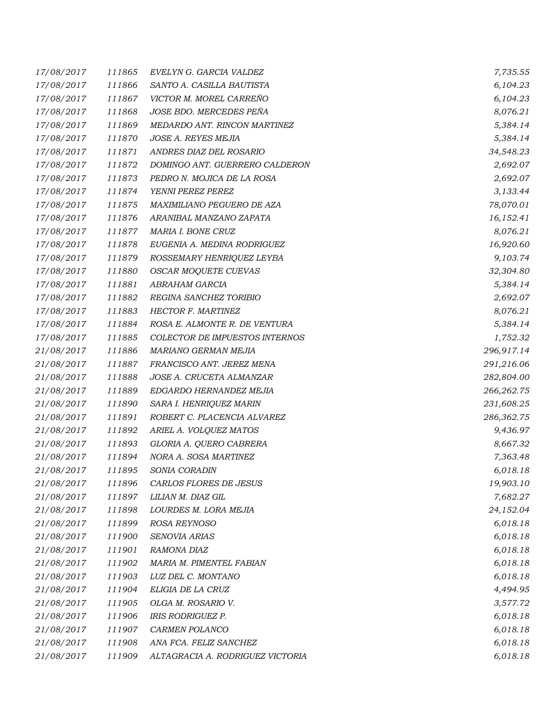| 17/08/2017 | 111865 | EVELYN G. GARCIA VALDEZ          | 7,735.55    |
|------------|--------|----------------------------------|-------------|
| 17/08/2017 | 111866 | SANTO A. CASILLA BAUTISTA        | 6,104.23    |
| 17/08/2017 | 111867 | VICTOR M. MOREL CARREÑO          | 6,104.23    |
| 17/08/2017 | 111868 | JOSE BDO. MERCEDES PEÑA          | 8,076.21    |
| 17/08/2017 | 111869 | MEDARDO ANT. RINCON MARTINEZ     | 5,384.14    |
| 17/08/2017 | 111870 | JOSE A. REYES MEJIA              | 5,384.14    |
| 17/08/2017 | 111871 | ANDRES DIAZ DEL ROSARIO          | 34,548.23   |
| 17/08/2017 | 111872 | DOMINGO ANT. GUERRERO CALDERON   | 2,692.07    |
| 17/08/2017 | 111873 | PEDRO N. MOJICA DE LA ROSA       | 2,692.07    |
| 17/08/2017 | 111874 | YENNI PEREZ PEREZ                | 3,133.44    |
| 17/08/2017 | 111875 | MAXIMILIANO PEGUERO DE AZA       | 78,070.01   |
| 17/08/2017 | 111876 | ARANIBAL MANZANO ZAPATA          | 16,152.41   |
| 17/08/2017 | 111877 | MARIA I. BONE CRUZ               | 8,076.21    |
| 17/08/2017 | 111878 | EUGENIA A. MEDINA RODRIGUEZ      | 16,920.60   |
| 17/08/2017 | 111879 | ROSSEMARY HENRIQUEZ LEYBA        | 9,103.74    |
| 17/08/2017 | 111880 | OSCAR MOQUETE CUEVAS             | 32,304.80   |
| 17/08/2017 | 111881 | ABRAHAM GARCIA                   | 5,384.14    |
| 17/08/2017 | 111882 | REGINA SANCHEZ TORIBIO           | 2,692.07    |
| 17/08/2017 | 111883 | HECTOR F. MARTINEZ               | 8,076.21    |
| 17/08/2017 | 111884 | ROSA E. ALMONTE R. DE VENTURA    | 5,384.14    |
| 17/08/2017 | 111885 | COLECTOR DE IMPUESTOS INTERNOS   | 1,752.32    |
| 21/08/2017 | 111886 | MARIANO GERMAN MEJIA             | 296,917.14  |
| 21/08/2017 | 111887 | FRANCISCO ANT. JEREZ MENA        | 291,216.06  |
| 21/08/2017 | 111888 | JOSE A. CRUCETA ALMANZAR         | 282,804.00  |
| 21/08/2017 | 111889 | EDGARDO HERNANDEZ MEJIA          | 266, 262.75 |
| 21/08/2017 | 111890 | SARA I. HENRIQUEZ MARIN          | 231,608.25  |
| 21/08/2017 | 111891 | ROBERT C. PLACENCIA ALVAREZ      | 286,362.75  |
| 21/08/2017 | 111892 | ARIEL A. VOLQUEZ MATOS           | 9,436.97    |
| 21/08/2017 | 111893 | GLORIA A. QUERO CABRERA          | 8,667.32    |
| 21/08/2017 | 111894 | NORA A. SOSA MARTINEZ            | 7,363.48    |
| 21/08/2017 | 111895 | SONIA CORADIN                    | 6,018.18    |
| 21/08/2017 | 111896 | CARLOS FLORES DE JESUS           | 19,903.10   |
| 21/08/2017 | 111897 | LILIAN M. DIAZ GIL               | 7,682.27    |
| 21/08/2017 | 111898 | LOURDES M. LORA MEJIA            | 24,152.04   |
| 21/08/2017 | 111899 | ROSA REYNOSO                     | 6,018.18    |
| 21/08/2017 | 111900 | <b>SENOVIA ARIAS</b>             | 6,018.18    |
| 21/08/2017 | 111901 | RAMONA DIAZ                      | 6,018.18    |
| 21/08/2017 | 111902 | MARIA M. PIMENTEL FABIAN         | 6,018.18    |
| 21/08/2017 | 111903 | LUZ DEL C. MONTANO               | 6,018.18    |
| 21/08/2017 | 111904 | ELIGIA DE LA CRUZ                | 4,494.95    |
| 21/08/2017 | 111905 | OLGA M. ROSARIO V.               | 3,577.72    |
| 21/08/2017 | 111906 | <b>IRIS RODRIGUEZ P.</b>         | 6,018.18    |
| 21/08/2017 | 111907 | CARMEN POLANCO                   | 6,018.18    |
| 21/08/2017 | 111908 | ANA FCA. FELIZ SANCHEZ           | 6,018.18    |
| 21/08/2017 | 111909 | ALTAGRACIA A. RODRIGUEZ VICTORIA | 6,018.18    |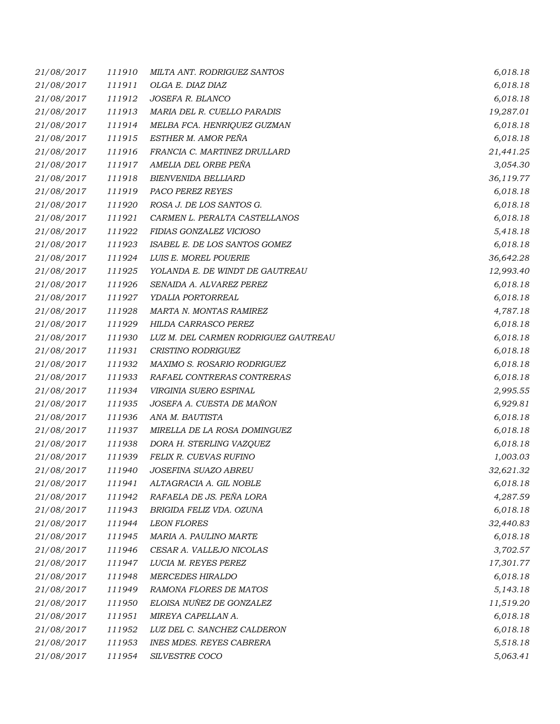| 21/08/2017 | 111910 | MILTA ANT. RODRIGUEZ SANTOS          | 6,018.18  |
|------------|--------|--------------------------------------|-----------|
| 21/08/2017 | 111911 | OLGA E. DIAZ DIAZ                    | 6,018.18  |
| 21/08/2017 | 111912 | JOSEFA R. BLANCO                     | 6,018.18  |
| 21/08/2017 | 111913 | MARIA DEL R. CUELLO PARADIS          | 19,287.01 |
| 21/08/2017 | 111914 | MELBA FCA. HENRIQUEZ GUZMAN          | 6,018.18  |
| 21/08/2017 | 111915 | ESTHER M. AMOR PEÑA                  | 6,018.18  |
| 21/08/2017 | 111916 | FRANCIA C. MARTINEZ DRULLARD         | 21,441.25 |
| 21/08/2017 | 111917 | AMELIA DEL ORBE PEÑA                 | 3,054.30  |
| 21/08/2017 | 111918 | <b>BIENVENIDA BELLIARD</b>           | 36,119.77 |
| 21/08/2017 | 111919 | PACO PEREZ REYES                     | 6,018.18  |
| 21/08/2017 | 111920 | ROSA J. DE LOS SANTOS G.             | 6,018.18  |
| 21/08/2017 | 111921 | CARMEN L. PERALTA CASTELLANOS        | 6,018.18  |
| 21/08/2017 | 111922 | FIDIAS GONZALEZ VICIOSO              | 5,418.18  |
| 21/08/2017 | 111923 | ISABEL E. DE LOS SANTOS GOMEZ        | 6,018.18  |
| 21/08/2017 | 111924 | LUIS E. MOREL POUERIE                | 36,642.28 |
| 21/08/2017 | 111925 | YOLANDA E. DE WINDT DE GAUTREAU      | 12,993.40 |
| 21/08/2017 | 111926 | SENAIDA A. ALVAREZ PEREZ             | 6,018.18  |
| 21/08/2017 | 111927 | YDALIA PORTORREAL                    | 6,018.18  |
| 21/08/2017 | 111928 | MARTA N. MONTAS RAMIREZ              | 4,787.18  |
| 21/08/2017 | 111929 | HILDA CARRASCO PEREZ                 | 6,018.18  |
| 21/08/2017 | 111930 | LUZ M. DEL CARMEN RODRIGUEZ GAUTREAU | 6,018.18  |
| 21/08/2017 | 111931 | CRISTINO RODRIGUEZ                   | 6,018.18  |
| 21/08/2017 | 111932 | MAXIMO S. ROSARIO RODRIGUEZ          | 6,018.18  |
| 21/08/2017 | 111933 | RAFAEL CONTRERAS CONTRERAS           | 6,018.18  |
| 21/08/2017 | 111934 | VIRGINIA SUERO ESPINAL               | 2,995.55  |
| 21/08/2017 | 111935 | JOSEFA A. CUESTA DE MAÑON            | 6,929.81  |
| 21/08/2017 | 111936 | ANA M. BAUTISTA                      | 6,018.18  |
| 21/08/2017 | 111937 | MIRELLA DE LA ROSA DOMINGUEZ         | 6,018.18  |
| 21/08/2017 | 111938 | DORA H. STERLING VAZQUEZ             | 6,018.18  |
| 21/08/2017 | 111939 | FELIX R. CUEVAS RUFINO               | 1,003.03  |
| 21/08/2017 | 111940 | JOSEFINA SUAZO ABREU                 | 32,621.32 |
| 21/08/2017 | 111941 | ALTAGRACIA A. GIL NOBLE              | 6,018.18  |
| 21/08/2017 | 111942 | RAFAELA DE JS. PEÑA LORA             | 4,287.59  |
| 21/08/2017 | 111943 | BRIGIDA FELIZ VDA. OZUNA             | 6,018.18  |
| 21/08/2017 | 111944 | <b>LEON FLORES</b>                   | 32,440.83 |
| 21/08/2017 | 111945 | MARIA A. PAULINO MARTE               | 6,018.18  |
| 21/08/2017 | 111946 | CESAR A. VALLEJO NICOLAS             | 3,702.57  |
| 21/08/2017 | 111947 | LUCIA M. REYES PEREZ                 | 17,301.77 |
| 21/08/2017 | 111948 | <b>MERCEDES HIRALDO</b>              | 6,018.18  |
| 21/08/2017 | 111949 | RAMONA FLORES DE MATOS               | 5,143.18  |
| 21/08/2017 | 111950 | ELOISA NUÑEZ DE GONZALEZ             | 11,519.20 |
| 21/08/2017 | 111951 | MIREYA CAPELLAN A.                   | 6,018.18  |
| 21/08/2017 | 111952 | LUZ DEL C. SANCHEZ CALDERON          | 6,018.18  |
| 21/08/2017 | 111953 | <b>INES MDES. REYES CABRERA</b>      | 5,518.18  |
| 21/08/2017 | 111954 | SILVESTRE COCO                       | 5,063.41  |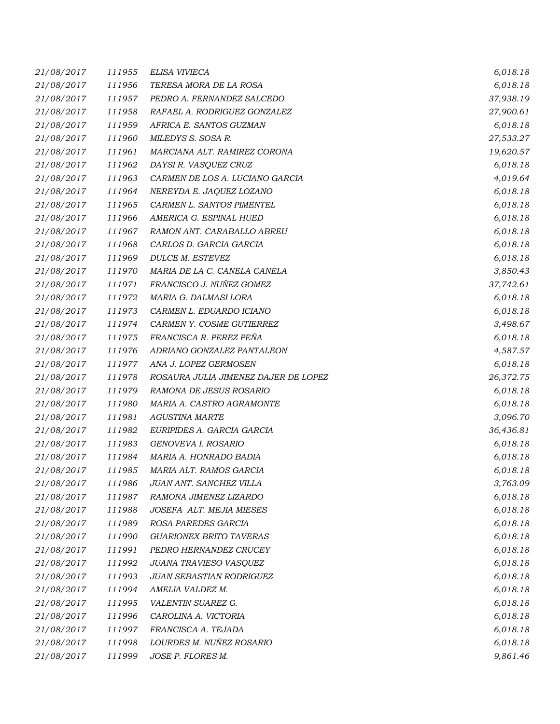| 21/08/2017 | 111955 | ELISA VIVIECA                        | 6,018.18  |
|------------|--------|--------------------------------------|-----------|
| 21/08/2017 | 111956 | TERESA MORA DE LA ROSA               | 6,018.18  |
| 21/08/2017 | 111957 | PEDRO A. FERNANDEZ SALCEDO           | 37,938.19 |
| 21/08/2017 | 111958 | RAFAEL A. RODRIGUEZ GONZALEZ         | 27,900.61 |
| 21/08/2017 | 111959 | AFRICA E. SANTOS GUZMAN              | 6,018.18  |
| 21/08/2017 | 111960 | MILEDYS S. SOSA R.                   | 27,533.27 |
| 21/08/2017 | 111961 | MARCIANA ALT. RAMIREZ CORONA         | 19,620.57 |
| 21/08/2017 | 111962 | DAYSI R. VASQUEZ CRUZ                | 6,018.18  |
| 21/08/2017 | 111963 | CARMEN DE LOS A. LUCIANO GARCIA      | 4,019.64  |
| 21/08/2017 | 111964 | NEREYDA E. JAQUEZ LOZANO             | 6,018.18  |
| 21/08/2017 | 111965 | CARMEN L. SANTOS PIMENTEL            | 6,018.18  |
| 21/08/2017 | 111966 | AMERICA G. ESPINAL HUED              | 6,018.18  |
| 21/08/2017 | 111967 | RAMON ANT. CARABALLO ABREU           | 6,018.18  |
| 21/08/2017 | 111968 | CARLOS D. GARCIA GARCIA              | 6,018.18  |
| 21/08/2017 | 111969 | <b>DULCE M. ESTEVEZ</b>              | 6,018.18  |
| 21/08/2017 | 111970 | MARIA DE LA C. CANELA CANELA         | 3,850.43  |
| 21/08/2017 | 111971 | FRANCISCO J. NUÑEZ GOMEZ             | 37,742.61 |
| 21/08/2017 | 111972 | MARIA G. DALMASI LORA                | 6,018.18  |
| 21/08/2017 | 111973 | CARMEN L. EDUARDO ICIANO             | 6,018.18  |
| 21/08/2017 | 111974 | CARMEN Y. COSME GUTIERREZ            | 3,498.67  |
| 21/08/2017 | 111975 | FRANCISCA R. PEREZ PEÑA              | 6,018.18  |
| 21/08/2017 | 111976 | ADRIANO GONZALEZ PANTALEON           | 4,587.57  |
| 21/08/2017 | 111977 | ANA J. LOPEZ GERMOSEN                | 6,018.18  |
| 21/08/2017 | 111978 | ROSAURA JULIA JIMENEZ DAJER DE LOPEZ | 26,372.75 |
| 21/08/2017 | 111979 | RAMONA DE JESUS ROSARIO              | 6,018.18  |
| 21/08/2017 | 111980 | MARIA A. CASTRO AGRAMONTE            | 6,018.18  |
| 21/08/2017 | 111981 | <b>AGUSTINA MARTE</b>                | 3,096.70  |
| 21/08/2017 | 111982 | EURIPIDES A. GARCIA GARCIA           | 36,436.81 |
| 21/08/2017 | 111983 | GENOVEVA I. ROSARIO                  | 6,018.18  |
| 21/08/2017 | 111984 | MARIA A. HONRADO BADIA               | 6,018.18  |
| 21/08/2017 | 111985 | MARIA ALT. RAMOS GARCIA              | 6,018.18  |
| 21/08/2017 | 111986 | JUAN ANT. SANCHEZ VILLA              | 3,763.09  |
| 21/08/2017 | 111987 | RAMONA JIMENEZ LIZARDO               | 6,018.18  |
| 21/08/2017 | 111988 | JOSEFA ALT. MEJIA MIESES             | 6,018.18  |
| 21/08/2017 | 111989 | ROSA PAREDES GARCIA                  | 6,018.18  |
| 21/08/2017 | 111990 | <b>GUARIONEX BRITO TAVERAS</b>       | 6,018.18  |
| 21/08/2017 | 111991 | PEDRO HERNANDEZ CRUCEY               | 6,018.18  |
| 21/08/2017 | 111992 | JUANA TRAVIESO VASQUEZ               | 6,018.18  |
| 21/08/2017 | 111993 | JUAN SEBASTIAN RODRIGUEZ             | 6,018.18  |
| 21/08/2017 | 111994 | AMELIA VALDEZ M.                     | 6,018.18  |
| 21/08/2017 | 111995 | VALENTIN SUAREZ G.                   | 6,018.18  |
| 21/08/2017 | 111996 | CAROLINA A. VICTORIA                 | 6,018.18  |
| 21/08/2017 | 111997 | FRANCISCA A. TEJADA                  | 6,018.18  |
| 21/08/2017 | 111998 | LOURDES M. NUÑEZ ROSARIO             | 6,018.18  |
| 21/08/2017 | 111999 | JOSE P. FLORES M.                    | 9,861.46  |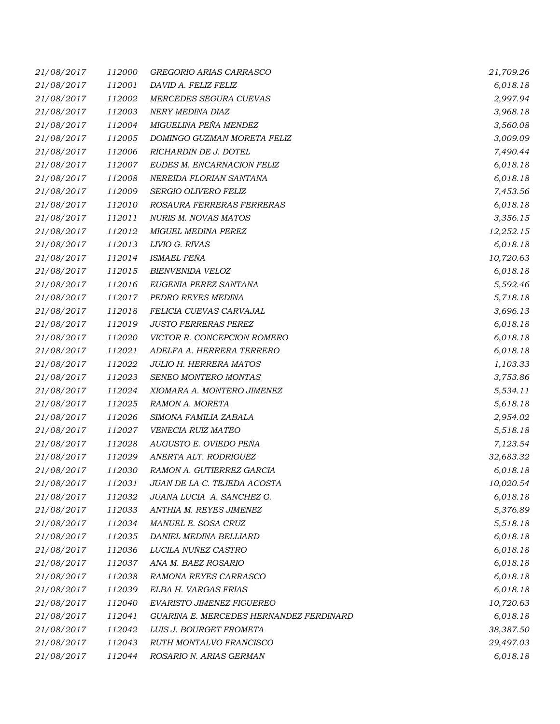| 21/08/2017 | 112000 | GREGORIO ARIAS CARRASCO                 | 21,709.26 |
|------------|--------|-----------------------------------------|-----------|
| 21/08/2017 | 112001 | DAVID A. FELIZ FELIZ                    | 6,018.18  |
| 21/08/2017 | 112002 | MERCEDES SEGURA CUEVAS                  | 2,997.94  |
| 21/08/2017 | 112003 | NERY MEDINA DIAZ                        | 3,968.18  |
| 21/08/2017 | 112004 | MIGUELINA PEÑA MENDEZ                   | 3,560.08  |
| 21/08/2017 | 112005 | DOMINGO GUZMAN MORETA FELIZ             | 3,009.09  |
| 21/08/2017 | 112006 | RICHARDIN DE J. DOTEL                   | 7,490.44  |
| 21/08/2017 | 112007 | EUDES M. ENCARNACION FELIZ              | 6,018.18  |
| 21/08/2017 | 112008 | NEREIDA FLORIAN SANTANA                 | 6,018.18  |
| 21/08/2017 | 112009 | SERGIO OLIVERO FELIZ                    | 7,453.56  |
| 21/08/2017 | 112010 | ROSAURA FERRERAS FERRERAS               | 6,018.18  |
| 21/08/2017 | 112011 | NURIS M. NOVAS MATOS                    | 3,356.15  |
| 21/08/2017 | 112012 | <b>MIGUEL MEDINA PEREZ</b>              | 12,252.15 |
| 21/08/2017 | 112013 | LIVIO G. RIVAS                          | 6,018.18  |
| 21/08/2017 | 112014 | <b>ISMAEL PEÑA</b>                      | 10,720.63 |
| 21/08/2017 | 112015 | BIENVENIDA VELOZ                        | 6,018.18  |
| 21/08/2017 | 112016 | EUGENIA PEREZ SANTANA                   | 5,592.46  |
| 21/08/2017 | 112017 | PEDRO REYES MEDINA                      | 5,718.18  |
| 21/08/2017 | 112018 | FELICIA CUEVAS CARVAJAL                 | 3,696.13  |
| 21/08/2017 | 112019 | <b>JUSTO FERRERAS PEREZ</b>             | 6,018.18  |
| 21/08/2017 | 112020 | VICTOR R. CONCEPCION ROMERO             | 6,018.18  |
| 21/08/2017 | 112021 | ADELFA A. HERRERA TERRERO               | 6,018.18  |
| 21/08/2017 | 112022 | <b>JULIO H. HERRERA MATOS</b>           | 1,103.33  |
| 21/08/2017 | 112023 | SENEO MONTERO MONTAS                    | 3,753.86  |
| 21/08/2017 | 112024 | XIOMARA A. MONTERO JIMENEZ              | 5,534.11  |
| 21/08/2017 | 112025 | RAMON A. MORETA                         | 5,618.18  |
| 21/08/2017 | 112026 | SIMONA FAMILIA ZABALA                   | 2,954.02  |
| 21/08/2017 | 112027 | VENECIA RUIZ MATEO                      | 5,518.18  |
| 21/08/2017 | 112028 | AUGUSTO E. OVIEDO PEÑA                  | 7,123.54  |
| 21/08/2017 | 112029 | ANERTA ALT. RODRIGUEZ                   | 32,683.32 |
| 21/08/2017 | 112030 | RAMON A. GUTIERREZ GARCIA               | 6,018.18  |
| 21/08/2017 | 112031 | JUAN DE LA C. TEJEDA ACOSTA             | 10,020.54 |
| 21/08/2017 | 112032 | JUANA LUCIA A. SANCHEZ G.               | 6,018.18  |
| 21/08/2017 | 112033 | ANTHIA M. REYES JIMENEZ                 | 5,376.89  |
| 21/08/2017 | 112034 | MANUEL E. SOSA CRUZ                     | 5,518.18  |
| 21/08/2017 | 112035 | DANIEL MEDINA BELLIARD                  | 6,018.18  |
| 21/08/2017 | 112036 | LUCILA NUÑEZ CASTRO                     | 6,018.18  |
| 21/08/2017 | 112037 | ANA M. BAEZ ROSARIO                     | 6,018.18  |
| 21/08/2017 | 112038 | RAMONA REYES CARRASCO                   | 6,018.18  |
| 21/08/2017 | 112039 | ELBA H. VARGAS FRIAS                    | 6,018.18  |
| 21/08/2017 | 112040 | <b>EVARISTO JIMENEZ FIGUEREO</b>        | 10,720.63 |
| 21/08/2017 | 112041 | GUARINA E. MERCEDES HERNANDEZ FERDINARD | 6,018.18  |
| 21/08/2017 | 112042 | LUIS J. BOURGET FROMETA                 | 38,387.50 |
| 21/08/2017 | 112043 | RUTH MONTALVO FRANCISCO                 | 29,497.03 |
| 21/08/2017 | 112044 | ROSARIO N. ARIAS GERMAN                 | 6,018.18  |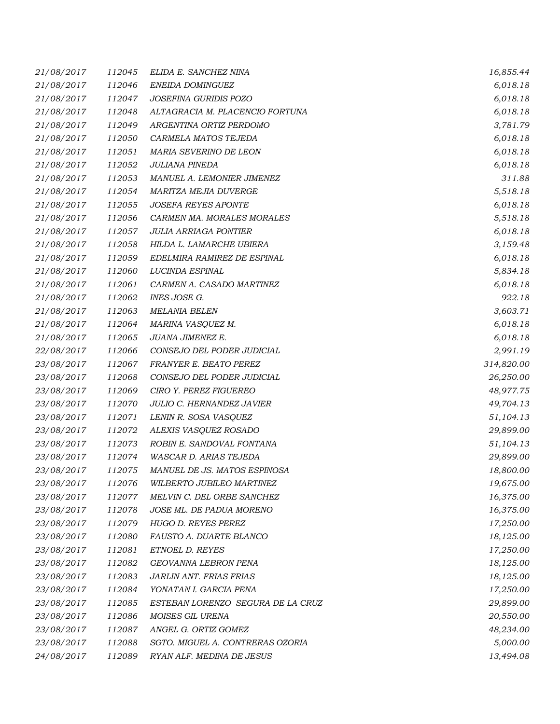| 21/08/2017 | 112045 | ELIDA E. SANCHEZ NINA             | 16,855.44  |
|------------|--------|-----------------------------------|------------|
| 21/08/2017 | 112046 | ENEIDA DOMINGUEZ                  | 6,018.18   |
| 21/08/2017 | 112047 | JOSEFINA GURIDIS POZO             | 6,018.18   |
| 21/08/2017 | 112048 | ALTAGRACIA M. PLACENCIO FORTUNA   | 6,018.18   |
| 21/08/2017 | 112049 | ARGENTINA ORTIZ PERDOMO           | 3,781.79   |
| 21/08/2017 | 112050 | CARMELA MATOS TEJEDA              | 6,018.18   |
| 21/08/2017 | 112051 | MARIA SEVERINO DE LEON            | 6,018.18   |
| 21/08/2017 | 112052 | <b>JULIANA PINEDA</b>             | 6,018.18   |
| 21/08/2017 | 112053 | MANUEL A. LEMONIER JIMENEZ        | 311.88     |
| 21/08/2017 | 112054 | MARITZA MEJIA DUVERGE             | 5,518.18   |
| 21/08/2017 | 112055 | <b>JOSEFA REYES APONTE</b>        | 6,018.18   |
| 21/08/2017 | 112056 | CARMEN MA. MORALES MORALES        | 5,518.18   |
| 21/08/2017 | 112057 | <b>JULIA ARRIAGA PONTIER</b>      | 6,018.18   |
| 21/08/2017 | 112058 | HILDA L. LAMARCHE UBIERA          | 3,159.48   |
| 21/08/2017 | 112059 | EDELMIRA RAMIREZ DE ESPINAL       | 6,018.18   |
| 21/08/2017 | 112060 | LUCINDA ESPINAL                   | 5,834.18   |
| 21/08/2017 | 112061 | CARMEN A. CASADO MARTINEZ         | 6,018.18   |
| 21/08/2017 | 112062 | INES JOSE G.                      | 922.18     |
| 21/08/2017 | 112063 | <b>MELANIA BELEN</b>              | 3,603.71   |
| 21/08/2017 | 112064 | MARINA VASQUEZ M.                 | 6,018.18   |
| 21/08/2017 | 112065 | JUANA JIMENEZ E.                  | 6,018.18   |
| 22/08/2017 | 112066 | CONSEJO DEL PODER JUDICIAL        | 2,991.19   |
| 23/08/2017 | 112067 | FRANYER E. BEATO PEREZ            | 314,820.00 |
| 23/08/2017 | 112068 | CONSEJO DEL PODER JUDICIAL        | 26,250.00  |
| 23/08/2017 | 112069 | CIRO Y. PEREZ FIGUEREO            | 48,977.75  |
| 23/08/2017 | 112070 | JULIO C. HERNANDEZ JAVIER         | 49,704.13  |
| 23/08/2017 | 112071 | LENIN R. SOSA VASQUEZ             | 51,104.13  |
| 23/08/2017 | 112072 | ALEXIS VASQUEZ ROSADO             | 29,899.00  |
| 23/08/2017 | 112073 | ROBIN E. SANDOVAL FONTANA         | 51,104.13  |
| 23/08/2017 | 112074 | WASCAR D. ARIAS TEJEDA            | 29,899.00  |
| 23/08/2017 | 112075 | MANUEL DE JS. MATOS ESPINOSA      | 18,800.00  |
| 23/08/2017 | 112076 | WILBERTO JUBILEO MARTINEZ         | 19,675.00  |
| 23/08/2017 | 112077 | MELVIN C. DEL ORBE SANCHEZ        | 16,375.00  |
| 23/08/2017 | 112078 | JOSE ML. DE PADUA MORENO          | 16,375.00  |
| 23/08/2017 | 112079 | HUGO D. REYES PEREZ               | 17,250.00  |
| 23/08/2017 | 112080 | FAUSTO A. DUARTE BLANCO           | 18,125.00  |
| 23/08/2017 | 112081 | ETNOEL D. REYES                   | 17,250.00  |
| 23/08/2017 | 112082 | GEOVANNA LEBRON PENA              | 18,125.00  |
| 23/08/2017 | 112083 | JARLIN ANT. FRIAS FRIAS           | 18,125.00  |
| 23/08/2017 | 112084 | YONATAN I. GARCIA PENA            | 17,250.00  |
| 23/08/2017 | 112085 | ESTEBAN LORENZO SEGURA DE LA CRUZ | 29,899.00  |
| 23/08/2017 | 112086 | MOISES GIL URENA                  | 20,550.00  |
| 23/08/2017 | 112087 | ANGEL G. ORTIZ GOMEZ              | 48,234.00  |
| 23/08/2017 | 112088 | SGTO. MIGUEL A. CONTRERAS OZORIA  | 5,000.00   |
| 24/08/2017 | 112089 | RYAN ALF. MEDINA DE JESUS         | 13,494.08  |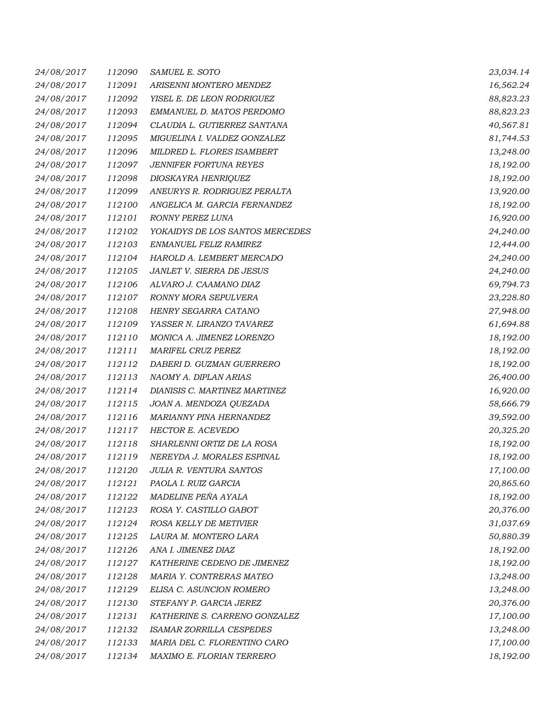| 24/08/2017 | 112090 | SAMUEL E. SOTO                  | 23,034.14 |
|------------|--------|---------------------------------|-----------|
| 24/08/2017 | 112091 | ARISENNI MONTERO MENDEZ         | 16,562.24 |
| 24/08/2017 | 112092 | YISEL E. DE LEON RODRIGUEZ      | 88,823.23 |
| 24/08/2017 | 112093 | EMMANUEL D. MATOS PERDOMO       | 88,823.23 |
| 24/08/2017 | 112094 | CLAUDIA L. GUTIERREZ SANTANA    | 40,567.81 |
| 24/08/2017 | 112095 | MIGUELINA I. VALDEZ GONZALEZ    | 81,744.53 |
| 24/08/2017 | 112096 | MILDRED L. FLORES ISAMBERT      | 13,248.00 |
| 24/08/2017 | 112097 | <b>JENNIFER FORTUNA REYES</b>   | 18,192.00 |
| 24/08/2017 | 112098 | DIOSKAYRA HENRIQUEZ             | 18,192.00 |
| 24/08/2017 | 112099 | ANEURYS R. RODRIGUEZ PERALTA    | 13,920.00 |
| 24/08/2017 | 112100 | ANGELICA M. GARCIA FERNANDEZ    | 18,192.00 |
| 24/08/2017 | 112101 | RONNY PEREZ LUNA                | 16,920.00 |
| 24/08/2017 | 112102 | YOKAIDYS DE LOS SANTOS MERCEDES | 24,240.00 |
| 24/08/2017 | 112103 | ENMANUEL FELIZ RAMIREZ          | 12,444.00 |
| 24/08/2017 | 112104 | HAROLD A. LEMBERT MERCADO       | 24,240.00 |
| 24/08/2017 | 112105 | JANLET V. SIERRA DE JESUS       | 24,240.00 |
| 24/08/2017 | 112106 | ALVARO J. CAAMANO DIAZ          | 69,794.73 |
| 24/08/2017 | 112107 | RONNY MORA SEPULVERA            | 23,228.80 |
| 24/08/2017 | 112108 | HENRY SEGARRA CATANO            | 27,948.00 |
| 24/08/2017 | 112109 | YASSER N. LIRANZO TAVAREZ       | 61,694.88 |
| 24/08/2017 | 112110 | MONICA A. JIMENEZ LORENZO       | 18,192.00 |
| 24/08/2017 | 112111 | <b>MARIFEL CRUZ PEREZ</b>       | 18,192.00 |
| 24/08/2017 | 112112 | DABERI D. GUZMAN GUERRERO       | 18,192.00 |
| 24/08/2017 | 112113 | NAOMY A. DIPLAN ARIAS           | 26,400.00 |
| 24/08/2017 | 112114 | DIANISIS C. MARTINEZ MARTINEZ   | 16,920.00 |
| 24/08/2017 | 112115 | JOAN A. MENDOZA QUEZADA         | 58,666.79 |
| 24/08/2017 | 112116 | MARIANNY PINA HERNANDEZ         | 39,592.00 |
| 24/08/2017 | 112117 | <b>HECTOR E. ACEVEDO</b>        | 20,325.20 |
| 24/08/2017 | 112118 | SHARLENNI ORTIZ DE LA ROSA      | 18,192.00 |
| 24/08/2017 | 112119 | NEREYDA J. MORALES ESPINAL      | 18,192.00 |
| 24/08/2017 | 112120 | JULIA R. VENTURA SANTOS         | 17,100.00 |
| 24/08/2017 | 112121 | PAOLA I. RUIZ GARCIA            | 20,865.60 |
| 24/08/2017 | 112122 | MADELINE PEÑA AYALA             | 18,192.00 |
| 24/08/2017 | 112123 | ROSA Y. CASTILLO GABOT          | 20,376.00 |
| 24/08/2017 | 112124 | ROSA KELLY DE METIVIER          | 31,037.69 |
| 24/08/2017 | 112125 | LAURA M. MONTERO LARA           | 50,880.39 |
| 24/08/2017 | 112126 | ANA I. JIMENEZ DIAZ             | 18,192.00 |
| 24/08/2017 | 112127 | KATHERINE CEDENO DE JIMENEZ     | 18,192.00 |
| 24/08/2017 | 112128 | MARIA Y. CONTRERAS MATEO        | 13,248.00 |
| 24/08/2017 | 112129 | ELISA C. ASUNCION ROMERO        | 13,248.00 |
| 24/08/2017 | 112130 | STEFANY P. GARCIA JEREZ         | 20,376.00 |
| 24/08/2017 | 112131 | KATHERINE S. CARRENO GONZALEZ   | 17,100.00 |
| 24/08/2017 | 112132 | <b>ISAMAR ZORRILLA CESPEDES</b> | 13,248.00 |
| 24/08/2017 | 112133 | MARIA DEL C. FLORENTINO CARO    | 17,100.00 |
| 24/08/2017 | 112134 | MAXIMO E. FLORIAN TERRERO       | 18,192.00 |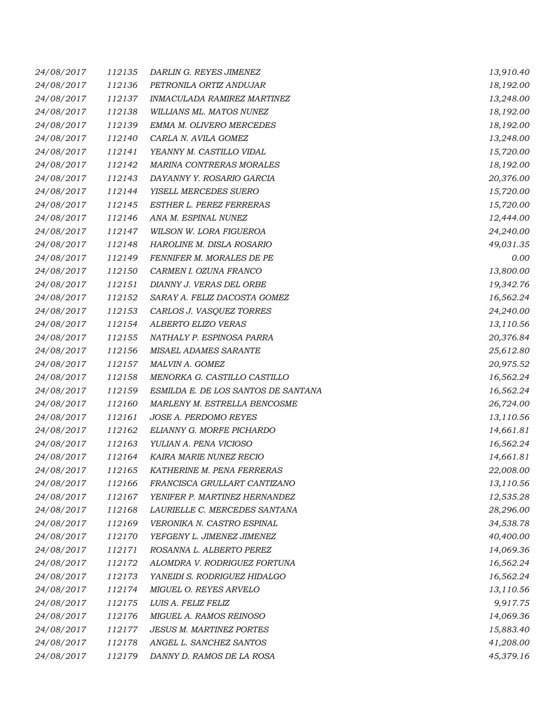| 24/08/2017 | 112135 | DARLIN G. REYES JIMENEZ             | 13,910.40 |
|------------|--------|-------------------------------------|-----------|
| 24/08/2017 | 112136 | PETRONILA ORTIZ ANDUJAR             | 18,192.00 |
| 24/08/2017 | 112137 | INMACULADA RAMIREZ MARTINEZ         | 13,248.00 |
| 24/08/2017 | 112138 | WILLIANS ML. MATOS NUNEZ            | 18,192.00 |
| 24/08/2017 | 112139 | EMMA M. OLIVERO MERCEDES            | 18,192.00 |
| 24/08/2017 | 112140 | CARLA N. AVILA GOMEZ                | 13,248.00 |
| 24/08/2017 | 112141 | YEANNY M. CASTILLO VIDAL            | 15,720.00 |
| 24/08/2017 | 112142 | MARINA CONTRERAS MORALES            | 18,192.00 |
| 24/08/2017 | 112143 | DAYANNY Y. ROSARIO GARCIA           | 20,376.00 |
| 24/08/2017 | 112144 | YISELL MERCEDES SUERO               | 15,720.00 |
| 24/08/2017 | 112145 | ESTHER L. PEREZ FERRERAS            | 15,720.00 |
| 24/08/2017 | 112146 | ANA M. ESPINAL NUNEZ                | 12,444.00 |
| 24/08/2017 | 112147 | WILSON W. LORA FIGUEROA             | 24,240.00 |
| 24/08/2017 | 112148 | HAROLINE M. DISLA ROSARIO           | 49,031.35 |
| 24/08/2017 | 112149 | FENNIFER M. MORALES DE PE           | 0.00      |
| 24/08/2017 | 112150 | CARMEN I. OZUNA FRANCO              | 13,800.00 |
| 24/08/2017 | 112151 | DIANNY J. VERAS DEL ORBE            | 19,342.76 |
| 24/08/2017 | 112152 | SARAY A. FELIZ DACOSTA GOMEZ        | 16,562.24 |
| 24/08/2017 | 112153 | CARLOS J. VASQUEZ TORRES            | 24,240.00 |
| 24/08/2017 | 112154 | ALBERTO ELIZO VERAS                 | 13,110.56 |
| 24/08/2017 | 112155 | NATHALY P. ESPINOSA PARRA           | 20,376.84 |
| 24/08/2017 | 112156 | MISAEL ADAMES SARANTE               | 25,612.80 |
| 24/08/2017 | 112157 | MALVIN A. GOMEZ                     | 20,975.52 |
| 24/08/2017 | 112158 | MENORKA G. CASTILLO CASTILLO        | 16,562.24 |
| 24/08/2017 | 112159 | ESMILDA E. DE LOS SANTOS DE SANTANA | 16,562.24 |
| 24/08/2017 | 112160 | MARLENY M. ESTRELLA BENCOSME        | 26,724.00 |
| 24/08/2017 | 112161 | JOSE A. PERDOMO REYES               | 13,110.56 |
| 24/08/2017 | 112162 | ELIANNY G. MORFE PICHARDO           | 14,661.81 |
| 24/08/2017 | 112163 | YULIAN A. PENA VICIOSO              | 16,562.24 |
| 24/08/2017 | 112164 | KAIRA MARIE NUNEZ RECIO             | 14,661.81 |
| 24/08/2017 | 112165 | KATHERINE M. PENA FERRERAS          | 22,008.00 |
| 24/08/2017 | 112166 | FRANCISCA GRULLART CANTIZANO        | 13,110.56 |
| 24/08/2017 | 112167 | YENIFER P. MARTINEZ HERNANDEZ       | 12,535.28 |
| 24/08/2017 | 112168 | LAURIELLE C. MERCEDES SANTANA       | 28,296.00 |
| 24/08/2017 | 112169 | VERONIKA N. CASTRO ESPINAL          | 34,538.78 |
| 24/08/2017 | 112170 | YEFGENY L. JIMENEZ JIMENEZ          | 40,400.00 |
| 24/08/2017 | 112171 | ROSANNA L. ALBERTO PEREZ            | 14,069.36 |
| 24/08/2017 | 112172 | ALOMDRA V. RODRIGUEZ FORTUNA        | 16,562.24 |
| 24/08/2017 | 112173 | YANEIDI S. RODRIGUEZ HIDALGO        | 16,562.24 |
| 24/08/2017 | 112174 | MIGUEL O. REYES ARVELO              | 13,110.56 |
| 24/08/2017 | 112175 | LUIS A. FELIZ FELIZ                 | 9,917.75  |
| 24/08/2017 | 112176 | MIGUEL A. RAMOS REINOSO             | 14,069.36 |
| 24/08/2017 | 112177 | <b>JESUS M. MARTINEZ PORTES</b>     | 15,883.40 |
| 24/08/2017 | 112178 | ANGEL L. SANCHEZ SANTOS             | 41,208.00 |
| 24/08/2017 | 112179 | DANNY D. RAMOS DE LA ROSA           | 45,379.16 |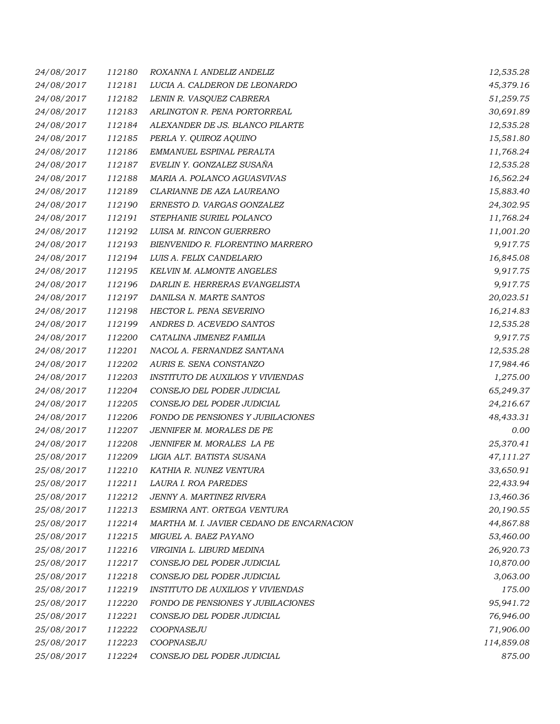| 24/08/2017 | 112180 | ROXANNA I. ANDELIZ ANDELIZ                | 12,535.28  |
|------------|--------|-------------------------------------------|------------|
| 24/08/2017 | 112181 | LUCIA A. CALDERON DE LEONARDO             | 45,379.16  |
| 24/08/2017 | 112182 | LENIN R. VASQUEZ CABRERA                  | 51,259.75  |
| 24/08/2017 | 112183 | ARLINGTON R. PENA PORTORREAL              | 30,691.89  |
| 24/08/2017 | 112184 | ALEXANDER DE JS. BLANCO PILARTE           | 12,535.28  |
| 24/08/2017 | 112185 | PERLA Y. QUIROZ AQUINO                    | 15,581.80  |
| 24/08/2017 | 112186 | EMMANUEL ESPINAL PERALTA                  | 11,768.24  |
| 24/08/2017 | 112187 | EVELIN Y. GONZALEZ SUSAÑA                 | 12,535.28  |
| 24/08/2017 | 112188 | MARIA A. POLANCO AGUASVIVAS               | 16,562.24  |
| 24/08/2017 | 112189 | CLARIANNE DE AZA LAUREANO                 | 15,883.40  |
| 24/08/2017 | 112190 | ERNESTO D. VARGAS GONZALEZ                | 24,302.95  |
| 24/08/2017 | 112191 | STEPHANIE SURIEL POLANCO                  | 11,768.24  |
| 24/08/2017 | 112192 | LUISA M. RINCON GUERRERO                  | 11,001.20  |
| 24/08/2017 | 112193 | BIENVENIDO R. FLORENTINO MARRERO          | 9,917.75   |
| 24/08/2017 | 112194 | LUIS A. FELIX CANDELARIO                  | 16,845.08  |
| 24/08/2017 | 112195 | KELVIN M. ALMONTE ANGELES                 | 9,917.75   |
| 24/08/2017 | 112196 | DARLIN E. HERRERAS EVANGELISTA            | 9,917.75   |
| 24/08/2017 | 112197 | DANILSA N. MARTE SANTOS                   | 20,023.51  |
| 24/08/2017 | 112198 | HECTOR L. PENA SEVERINO                   | 16,214.83  |
| 24/08/2017 | 112199 | ANDRES D. ACEVEDO SANTOS                  | 12,535.28  |
| 24/08/2017 | 112200 | CATALINA JIMENEZ FAMILIA                  | 9,917.75   |
| 24/08/2017 | 112201 | NACOL A. FERNANDEZ SANTANA                | 12,535.28  |
| 24/08/2017 | 112202 | AURIS E. SENA CONSTANZO                   | 17,984.46  |
| 24/08/2017 | 112203 | <i>INSTITUTO DE AUXILIOS Y VIVIENDAS</i>  | 1,275.00   |
| 24/08/2017 | 112204 | CONSEJO DEL PODER JUDICIAL                | 65,249.37  |
| 24/08/2017 | 112205 | CONSEJO DEL PODER JUDICIAL                | 24,216.67  |
| 24/08/2017 | 112206 | FONDO DE PENSIONES Y JUBILACIONES         | 48,433.31  |
| 24/08/2017 | 112207 | JENNIFER M. MORALES DE PE                 | 0.00       |
| 24/08/2017 | 112208 | JENNIFER M. MORALES LA PE                 | 25,370.41  |
| 25/08/2017 | 112209 | LIGIA ALT. BATISTA SUSANA                 | 47,111.27  |
| 25/08/2017 | 112210 | KATHIA R. NUNEZ VENTURA                   | 33,650.91  |
| 25/08/2017 | 112211 | LAURA I. ROA PAREDES                      | 22,433.94  |
| 25/08/2017 | 112212 | <b>JENNY A. MARTINEZ RIVERA</b>           | 13,460.36  |
| 25/08/2017 | 112213 | ESMIRNA ANT. ORTEGA VENTURA               | 20,190.55  |
| 25/08/2017 | 112214 | MARTHA M. I. JAVIER CEDANO DE ENCARNACION | 44,867.88  |
| 25/08/2017 | 112215 | MIGUEL A. BAEZ PAYANO                     | 53,460.00  |
| 25/08/2017 | 112216 | VIRGINIA L. LIBURD MEDINA                 | 26,920.73  |
| 25/08/2017 | 112217 | CONSEJO DEL PODER JUDICIAL                | 10,870.00  |
| 25/08/2017 | 112218 | CONSEJO DEL PODER JUDICIAL                | 3,063.00   |
| 25/08/2017 | 112219 | <b>INSTITUTO DE AUXILIOS Y VIVIENDAS</b>  | 175.00     |
| 25/08/2017 | 112220 | FONDO DE PENSIONES Y JUBILACIONES         | 95,941.72  |
| 25/08/2017 | 112221 | CONSEJO DEL PODER JUDICIAL                | 76,946.00  |
| 25/08/2017 | 112222 | COOPNASEJU                                | 71,906.00  |
| 25/08/2017 | 112223 | COOPNASEJU                                | 114,859.08 |
| 25/08/2017 | 112224 | CONSEJO DEL PODER JUDICIAL                | 875.00     |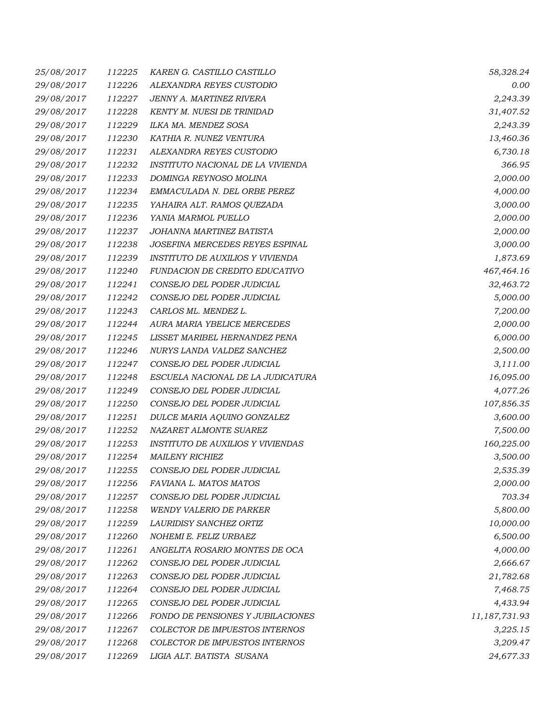| 25/08/2017 | 112225 | KAREN G. CASTILLO CASTILLO               | 58,328.24     |
|------------|--------|------------------------------------------|---------------|
| 29/08/2017 | 112226 | ALEXANDRA REYES CUSTODIO                 | 0.00          |
| 29/08/2017 | 112227 | JENNY A. MARTINEZ RIVERA                 | 2,243.39      |
| 29/08/2017 | 112228 | KENTY M. NUESI DE TRINIDAD               | 31,407.52     |
| 29/08/2017 | 112229 | ILKA MA. MENDEZ SOSA                     | 2,243.39      |
| 29/08/2017 | 112230 | KATHIA R. NUNEZ VENTURA                  | 13,460.36     |
| 29/08/2017 | 112231 | ALEXANDRA REYES CUSTODIO                 | 6,730.18      |
| 29/08/2017 | 112232 | INSTITUTO NACIONAL DE LA VIVIENDA        | 366.95        |
| 29/08/2017 | 112233 | DOMINGA REYNOSO MOLINA                   | 2,000.00      |
| 29/08/2017 | 112234 | EMMACULADA N. DEL ORBE PEREZ             | 4,000.00      |
| 29/08/2017 | 112235 | YAHAIRA ALT. RAMOS QUEZADA               | 3,000.00      |
| 29/08/2017 | 112236 | YANIA MARMOL PUELLO                      | 2,000.00      |
| 29/08/2017 | 112237 | JOHANNA MARTINEZ BATISTA                 | 2,000.00      |
| 29/08/2017 | 112238 | JOSEFINA MERCEDES REYES ESPINAL          | 3,000.00      |
| 29/08/2017 | 112239 | INSTITUTO DE AUXILIOS Y VIVIENDA         | 1,873.69      |
| 29/08/2017 | 112240 | FUNDACION DE CREDITO EDUCATIVO           | 467,464.16    |
| 29/08/2017 | 112241 | CONSEJO DEL PODER JUDICIAL               | 32,463.72     |
| 29/08/2017 | 112242 | CONSEJO DEL PODER JUDICIAL               | 5,000.00      |
| 29/08/2017 | 112243 | CARLOS ML. MENDEZ L.                     | 7,200.00      |
| 29/08/2017 | 112244 | AURA MARIA YBELICE MERCEDES              | 2,000.00      |
| 29/08/2017 | 112245 | LISSET MARIBEL HERNANDEZ PENA            | 6,000.00      |
| 29/08/2017 | 112246 | NURYS LANDA VALDEZ SANCHEZ               | 2,500.00      |
| 29/08/2017 | 112247 | CONSEJO DEL PODER JUDICIAL               | 3,111.00      |
| 29/08/2017 | 112248 | ESCUELA NACIONAL DE LA JUDICATURA        | 16,095.00     |
| 29/08/2017 | 112249 | CONSEJO DEL PODER JUDICIAL               | 4,077.26      |
| 29/08/2017 | 112250 | CONSEJO DEL PODER JUDICIAL               | 107,856.35    |
| 29/08/2017 | 112251 | DULCE MARIA AQUINO GONZALEZ              | 3,600.00      |
| 29/08/2017 | 112252 | NAZARET ALMONTE SUAREZ                   | 7,500.00      |
| 29/08/2017 | 112253 | <b>INSTITUTO DE AUXILIOS Y VIVIENDAS</b> | 160,225.00    |
| 29/08/2017 | 112254 | <b>MAILENY RICHIEZ</b>                   | 3,500.00      |
| 29/08/2017 | 112255 | CONSEJO DEL PODER JUDICIAL               | 2,535.39      |
| 29/08/2017 | 112256 | FAVIANA L. MATOS MATOS                   | 2,000.00      |
| 29/08/2017 | 112257 | CONSEJO DEL PODER JUDICIAL               | 703.34        |
| 29/08/2017 | 112258 | <b>WENDY VALERIO DE PARKER</b>           | 5,800.00      |
| 29/08/2017 | 112259 | LAURIDISY SANCHEZ ORTIZ                  | 10,000.00     |
| 29/08/2017 | 112260 | NOHEMI E. FELIZ URBAEZ                   | 6,500.00      |
| 29/08/2017 | 112261 | ANGELITA ROSARIO MONTES DE OCA           | 4,000.00      |
| 29/08/2017 | 112262 | CONSEJO DEL PODER JUDICIAL               | 2,666.67      |
| 29/08/2017 | 112263 | CONSEJO DEL PODER JUDICIAL               | 21,782.68     |
| 29/08/2017 | 112264 | CONSEJO DEL PODER JUDICIAL               | 7,468.75      |
| 29/08/2017 | 112265 | CONSEJO DEL PODER JUDICIAL               | 4,433.94      |
| 29/08/2017 | 112266 | FONDO DE PENSIONES Y JUBILACIONES        | 11,187,731.93 |
| 29/08/2017 | 112267 | COLECTOR DE IMPUESTOS INTERNOS           | 3,225.15      |
| 29/08/2017 | 112268 | COLECTOR DE IMPUESTOS INTERNOS           | 3,209.47      |
| 29/08/2017 | 112269 | LIGIA ALT. BATISTA SUSANA                | 24,677.33     |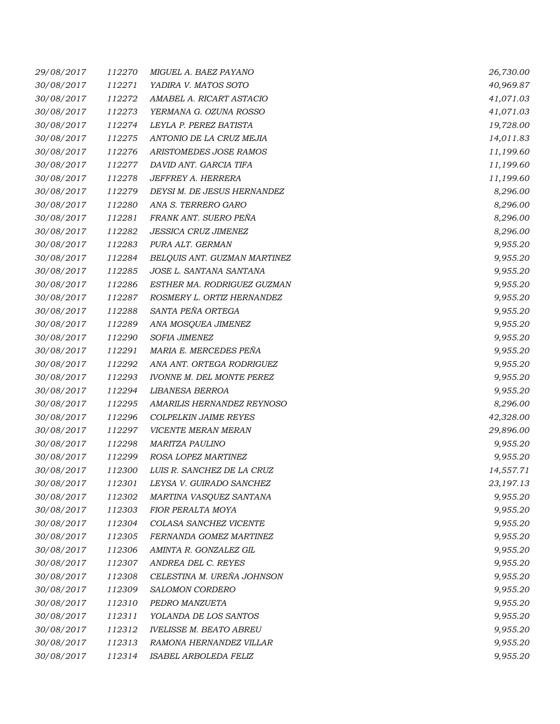| 29/08/2017 | 112270 | MIGUEL A. BAEZ PAYANO            | 26,730.00 |
|------------|--------|----------------------------------|-----------|
| 30/08/2017 | 112271 | YADIRA V. MATOS SOTO             | 40,969.87 |
| 30/08/2017 | 112272 | AMABEL A. RICART ASTACIO         | 41,071.03 |
| 30/08/2017 | 112273 | YERMANA G. OZUNA ROSSO           | 41,071.03 |
| 30/08/2017 | 112274 | LEYLA P. PEREZ BATISTA           | 19,728.00 |
| 30/08/2017 | 112275 | ANTONIO DE LA CRUZ MEJIA         | 14,011.83 |
| 30/08/2017 | 112276 | ARISTOMEDES JOSE RAMOS           | 11,199.60 |
| 30/08/2017 | 112277 | DAVID ANT. GARCIA TIFA           | 11,199.60 |
| 30/08/2017 | 112278 | JEFFREY A. HERRERA               | 11,199.60 |
| 30/08/2017 | 112279 | DEYSI M. DE JESUS HERNANDEZ      | 8,296.00  |
| 30/08/2017 | 112280 | ANA S. TERRERO GARO              | 8,296.00  |
| 30/08/2017 | 112281 | FRANK ANT. SUERO PEÑA            | 8,296.00  |
| 30/08/2017 | 112282 | <b>JESSICA CRUZ JIMENEZ</b>      | 8,296.00  |
| 30/08/2017 | 112283 | PURA ALT. GERMAN                 | 9,955.20  |
| 30/08/2017 | 112284 | BELQUIS ANT. GUZMAN MARTINEZ     | 9,955.20  |
| 30/08/2017 | 112285 | JOSE L. SANTANA SANTANA          | 9,955.20  |
| 30/08/2017 | 112286 | ESTHER MA. RODRIGUEZ GUZMAN      | 9,955.20  |
| 30/08/2017 | 112287 | ROSMERY L. ORTIZ HERNANDEZ       | 9,955.20  |
| 30/08/2017 | 112288 | SANTA PEÑA ORTEGA                | 9,955.20  |
| 30/08/2017 | 112289 | ANA MOSQUEA JIMENEZ              | 9,955.20  |
| 30/08/2017 | 112290 | SOFIA JIMENEZ                    | 9,955.20  |
| 30/08/2017 | 112291 | MARIA E. MERCEDES PEÑA           | 9,955.20  |
| 30/08/2017 | 112292 | ANA ANT. ORTEGA RODRIGUEZ        | 9,955.20  |
| 30/08/2017 | 112293 | <b>IVONNE M. DEL MONTE PEREZ</b> | 9,955.20  |
| 30/08/2017 | 112294 | LIBANESA BERROA                  | 9,955.20  |
| 30/08/2017 | 112295 | AMARILIS HERNANDEZ REYNOSO       | 8,296.00  |
| 30/08/2017 | 112296 | <b>COLPELKIN JAIME REYES</b>     | 42,328.00 |
| 30/08/2017 | 112297 | VICENTE MERAN MERAN              | 29,896.00 |
| 30/08/2017 | 112298 | <b>MARITZA PAULINO</b>           | 9,955.20  |
| 30/08/2017 | 112299 | ROSA LOPEZ MARTINEZ              | 9,955.20  |
| 30/08/2017 | 112300 | LUIS R. SANCHEZ DE LA CRUZ       | 14,557.71 |
| 30/08/2017 | 112301 | LEYSA V. GUIRADO SANCHEZ         | 23,197.13 |
| 30/08/2017 | 112302 | MARTINA VASQUEZ SANTANA          | 9,955.20  |
| 30/08/2017 | 112303 | FIOR PERALTA MOYA                | 9,955.20  |
| 30/08/2017 | 112304 | COLASA SANCHEZ VICENTE           | 9,955.20  |
| 30/08/2017 | 112305 | FERNANDA GOMEZ MARTINEZ          | 9,955.20  |
| 30/08/2017 | 112306 | AMINTA R. GONZALEZ GIL           | 9,955.20  |
| 30/08/2017 | 112307 | ANDREA DEL C. REYES              | 9,955.20  |
| 30/08/2017 | 112308 | CELESTINA M. UREÑA JOHNSON       | 9,955.20  |
| 30/08/2017 | 112309 | SALOMON CORDERO                  | 9,955.20  |
| 30/08/2017 | 112310 | PEDRO MANZUETA                   | 9,955.20  |
| 30/08/2017 | 112311 | YOLANDA DE LOS SANTOS            | 9,955.20  |
| 30/08/2017 | 112312 | <b>IVELISSE M. BEATO ABREU</b>   | 9,955.20  |
| 30/08/2017 | 112313 | RAMONA HERNANDEZ VILLAR          | 9,955.20  |
| 30/08/2017 | 112314 | ISABEL ARBOLEDA FELIZ            | 9,955.20  |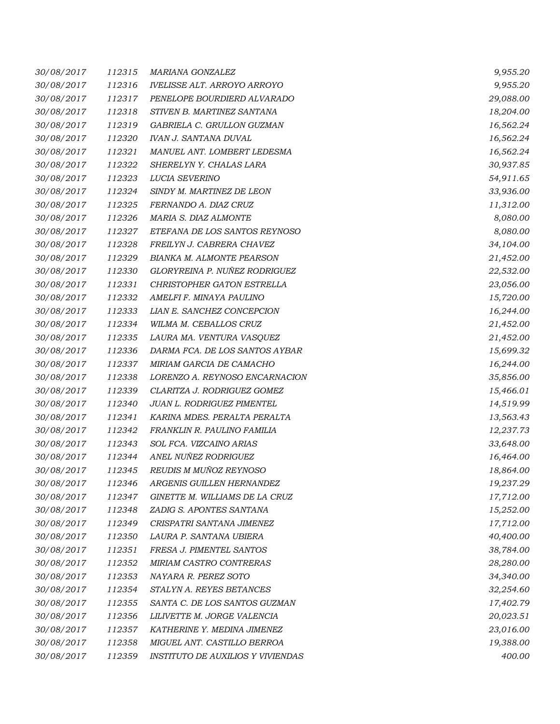| 30/08/2017 | 112315 | <b>MARIANA GONZALEZ</b>            | 9,955.20  |
|------------|--------|------------------------------------|-----------|
| 30/08/2017 | 112316 | <b>IVELISSE ALT. ARROYO ARROYO</b> | 9,955.20  |
| 30/08/2017 | 112317 | PENELOPE BOURDIERD ALVARADO        | 29,088.00 |
| 30/08/2017 | 112318 | STIVEN B. MARTINEZ SANTANA         | 18,204.00 |
| 30/08/2017 | 112319 | GABRIELA C. GRULLON GUZMAN         | 16,562.24 |
| 30/08/2017 | 112320 | <b>IVAN J. SANTANA DUVAL</b>       | 16,562.24 |
| 30/08/2017 | 112321 | MANUEL ANT. LOMBERT LEDESMA        | 16,562.24 |
| 30/08/2017 | 112322 | SHERELYN Y. CHALAS LARA            | 30,937.85 |
| 30/08/2017 | 112323 | LUCIA SEVERINO                     | 54,911.65 |
| 30/08/2017 | 112324 | SINDY M. MARTINEZ DE LEON          | 33,936.00 |
| 30/08/2017 | 112325 | FERNANDO A. DIAZ CRUZ              | 11,312.00 |
| 30/08/2017 | 112326 | MARIA S. DIAZ ALMONTE              | 8,080.00  |
| 30/08/2017 | 112327 | ETEFANA DE LOS SANTOS REYNOSO      | 8,080.00  |
| 30/08/2017 | 112328 | FREILYN J. CABRERA CHAVEZ          | 34,104.00 |
| 30/08/2017 | 112329 | <b>BIANKA M. ALMONTE PEARSON</b>   | 21,452.00 |
| 30/08/2017 | 112330 | GLORYREINA P. NUÑEZ RODRIGUEZ      | 22,532.00 |
| 30/08/2017 | 112331 | CHRISTOPHER GATON ESTRELLA         | 23,056.00 |
| 30/08/2017 | 112332 | AMELFI F. MINAYA PAULINO           | 15,720.00 |
| 30/08/2017 | 112333 | LIAN E. SANCHEZ CONCEPCION         | 16,244.00 |
| 30/08/2017 | 112334 | WILMA M. CEBALLOS CRUZ             | 21,452.00 |
| 30/08/2017 | 112335 | LAURA MA. VENTURA VASQUEZ          | 21,452.00 |
| 30/08/2017 | 112336 | DARMA FCA. DE LOS SANTOS AYBAR     | 15,699.32 |
| 30/08/2017 | 112337 | MIRIAM GARCIA DE CAMACHO           | 16,244.00 |
| 30/08/2017 | 112338 | LORENZO A. REYNOSO ENCARNACION     | 35,856.00 |
| 30/08/2017 | 112339 | CLARITZA J. RODRIGUEZ GOMEZ        | 15,466.01 |
| 30/08/2017 | 112340 | JUAN L. RODRIGUEZ PIMENTEL         | 14,519.99 |
| 30/08/2017 | 112341 | KARINA MDES. PERALTA PERALTA       | 13,563.43 |
| 30/08/2017 | 112342 | FRANKLIN R. PAULINO FAMILIA        | 12,237.73 |
| 30/08/2017 | 112343 | SOL FCA. VIZCAINO ARIAS            | 33,648.00 |
| 30/08/2017 | 112344 | ANEL NUÑEZ RODRIGUEZ               | 16,464.00 |
| 30/08/2017 | 112345 | REUDIS M MUÑOZ REYNOSO             | 18,864.00 |
| 30/08/2017 | 112346 | ARGENIS GUILLEN HERNANDEZ          | 19,237.29 |
| 30/08/2017 | 112347 | GINETTE M. WILLIAMS DE LA CRUZ     | 17,712.00 |
| 30/08/2017 | 112348 | ZADIG S. APONTES SANTANA           | 15,252.00 |
| 30/08/2017 | 112349 | CRISPATRI SANTANA JIMENEZ          | 17,712.00 |
| 30/08/2017 | 112350 | LAURA P. SANTANA UBIERA            | 40,400.00 |
| 30/08/2017 | 112351 | FRESA J. PIMENTEL SANTOS           | 38,784.00 |
| 30/08/2017 | 112352 | MIRIAM CASTRO CONTRERAS            | 28,280.00 |
| 30/08/2017 | 112353 | NAYARA R. PEREZ SOTO               | 34,340.00 |
| 30/08/2017 | 112354 | STALYN A. REYES BETANCES           | 32,254.60 |
| 30/08/2017 | 112355 | SANTA C. DE LOS SANTOS GUZMAN      | 17,402.79 |
| 30/08/2017 | 112356 | LILIVETTE M. JORGE VALENCIA        | 20,023.51 |
| 30/08/2017 | 112357 | KATHERINE Y. MEDINA JIMENEZ        | 23,016.00 |
| 30/08/2017 | 112358 | MIGUEL ANT. CASTILLO BERROA        | 19,388.00 |
| 30/08/2017 | 112359 | INSTITUTO DE AUXILIOS Y VIVIENDAS  | 400.00    |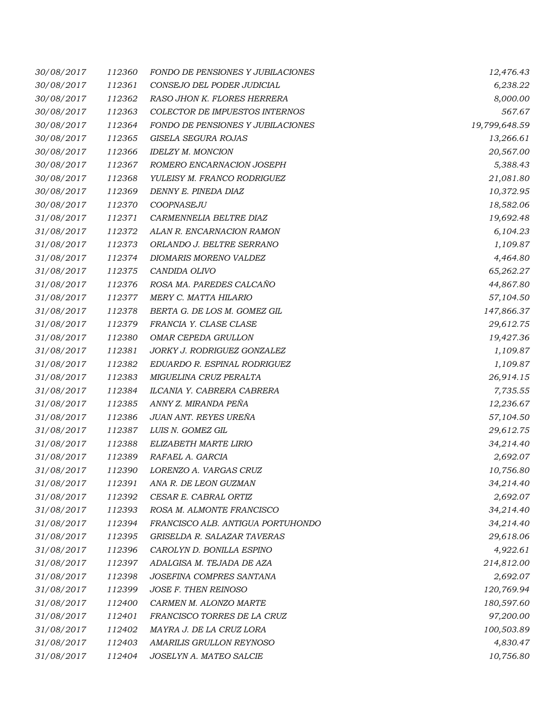| 30/08/2017 | 112360 | FONDO DE PENSIONES Y JUBILACIONES | 12,476.43     |
|------------|--------|-----------------------------------|---------------|
| 30/08/2017 | 112361 | CONSEJO DEL PODER JUDICIAL        | 6,238.22      |
| 30/08/2017 | 112362 | RASO JHON K. FLORES HERRERA       | 8,000.00      |
| 30/08/2017 | 112363 | COLECTOR DE IMPUESTOS INTERNOS    | 567.67        |
| 30/08/2017 | 112364 | FONDO DE PENSIONES Y JUBILACIONES | 19,799,648.59 |
| 30/08/2017 | 112365 | GISELA SEGURA ROJAS               | 13,266.61     |
| 30/08/2017 | 112366 | <b>IDELZY M. MONCION</b>          | 20,567.00     |
| 30/08/2017 | 112367 | ROMERO ENCARNACION JOSEPH         | 5,388.43      |
| 30/08/2017 | 112368 | YULEISY M. FRANCO RODRIGUEZ       | 21,081.80     |
| 30/08/2017 | 112369 | DENNY E. PINEDA DIAZ              | 10,372.95     |
| 30/08/2017 | 112370 | COOPNASEJU                        | 18,582.06     |
| 31/08/2017 | 112371 | CARMENNELIA BELTRE DIAZ           | 19,692.48     |
| 31/08/2017 | 112372 | ALAN R. ENCARNACION RAMON         | 6,104.23      |
| 31/08/2017 | 112373 | ORLANDO J. BELTRE SERRANO         | 1,109.87      |
| 31/08/2017 | 112374 | DIOMARIS MORENO VALDEZ            | 4,464.80      |
| 31/08/2017 | 112375 | CANDIDA OLIVO                     | 65,262.27     |
| 31/08/2017 | 112376 | ROSA MA. PAREDES CALCAÑO          | 44,867.80     |
| 31/08/2017 | 112377 | MERY C. MATTA HILARIO             | 57,104.50     |
| 31/08/2017 | 112378 | BERTA G. DE LOS M. GOMEZ GIL      | 147,866.37    |
| 31/08/2017 | 112379 | FRANCIA Y. CLASE CLASE            | 29,612.75     |
| 31/08/2017 | 112380 | OMAR CEPEDA GRULLON               | 19,427.36     |
| 31/08/2017 | 112381 | JORKY J. RODRIGUEZ GONZALEZ       | 1,109.87      |
| 31/08/2017 | 112382 | EDUARDO R. ESPINAL RODRIGUEZ      | 1,109.87      |
| 31/08/2017 | 112383 | MIGUELINA CRUZ PERALTA            | 26,914.15     |
| 31/08/2017 | 112384 | ILCANIA Y. CABRERA CABRERA        | 7,735.55      |
| 31/08/2017 | 112385 | ANNY Z. MIRANDA PEÑA              | 12,236.67     |
| 31/08/2017 | 112386 | JUAN ANT. REYES UREÑA             | 57,104.50     |
| 31/08/2017 | 112387 | LUIS N. GOMEZ GIL                 | 29,612.75     |
| 31/08/2017 | 112388 | ELIZABETH MARTE LIRIO             | 34,214.40     |
| 31/08/2017 | 112389 | RAFAEL A. GARCIA                  | 2,692.07      |
| 31/08/2017 | 112390 | LORENZO A. VARGAS CRUZ            | 10,756.80     |
| 31/08/2017 | 112391 | ANA R. DE LEON GUZMAN             | 34,214.40     |
| 31/08/2017 | 112392 | CESAR E. CABRAL ORTIZ             | 2,692.07      |
| 31/08/2017 | 112393 | ROSA M. ALMONTE FRANCISCO         | 34,214.40     |
| 31/08/2017 | 112394 | FRANCISCO ALB. ANTIGUA PORTUHONDO | 34,214.40     |
| 31/08/2017 | 112395 | GRISELDA R. SALAZAR TAVERAS       | 29,618.06     |
| 31/08/2017 | 112396 | CAROLYN D. BONILLA ESPINO         | 4,922.61      |
| 31/08/2017 | 112397 | ADALGISA M. TEJADA DE AZA         | 214,812.00    |
| 31/08/2017 | 112398 | JOSEFINA COMPRES SANTANA          | 2,692.07      |
| 31/08/2017 | 112399 | JOSE F. THEN REINOSO              | 120,769.94    |
| 31/08/2017 | 112400 | CARMEN M. ALONZO MARTE            | 180,597.60    |
| 31/08/2017 | 112401 | FRANCISCO TORRES DE LA CRUZ       | 97,200.00     |
| 31/08/2017 | 112402 | MAYRA J. DE LA CRUZ LORA          | 100,503.89    |
| 31/08/2017 | 112403 | AMARILIS GRULLON REYNOSO          | 4,830.47      |
| 31/08/2017 | 112404 | JOSELYN A. MATEO SALCIE           | 10,756.80     |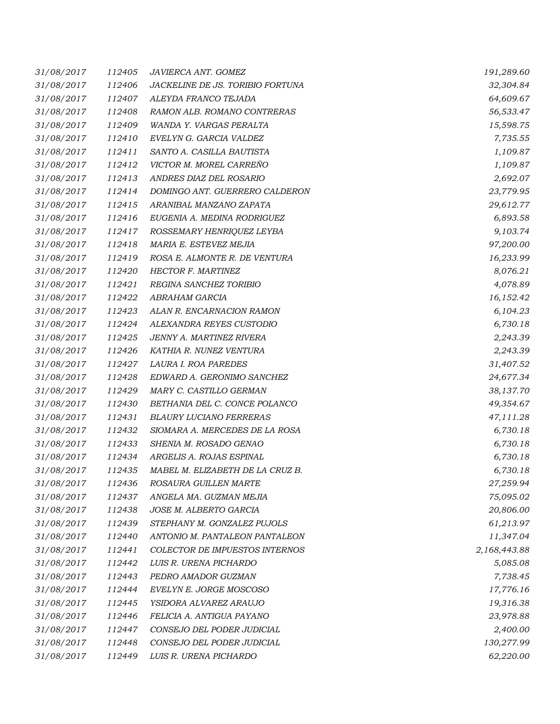| 31/08/2017 | 112405 | JAVIERCA ANT. GOMEZ              | 191,289.60   |
|------------|--------|----------------------------------|--------------|
| 31/08/2017 | 112406 | JACKELINE DE JS. TORIBIO FORTUNA | 32,304.84    |
| 31/08/2017 | 112407 | ALEYDA FRANCO TEJADA             | 64,609.67    |
| 31/08/2017 | 112408 | RAMON ALB. ROMANO CONTRERAS      | 56,533.47    |
| 31/08/2017 | 112409 | WANDA Y. VARGAS PERALTA          | 15,598.75    |
| 31/08/2017 | 112410 | EVELYN G. GARCIA VALDEZ          | 7,735.55     |
| 31/08/2017 | 112411 | SANTO A. CASILLA BAUTISTA        | 1,109.87     |
| 31/08/2017 | 112412 | VICTOR M. MOREL CARREÑO          | 1,109.87     |
| 31/08/2017 | 112413 | ANDRES DIAZ DEL ROSARIO          | 2,692.07     |
| 31/08/2017 | 112414 | DOMINGO ANT. GUERRERO CALDERON   | 23,779.95    |
| 31/08/2017 | 112415 | ARANIBAL MANZANO ZAPATA          | 29,612.77    |
| 31/08/2017 | 112416 | EUGENIA A. MEDINA RODRIGUEZ      | 6,893.58     |
| 31/08/2017 | 112417 | ROSSEMARY HENRIQUEZ LEYBA        | 9,103.74     |
| 31/08/2017 | 112418 | MARIA E. ESTEVEZ MEJIA           | 97,200.00    |
| 31/08/2017 | 112419 | ROSA E. ALMONTE R. DE VENTURA    | 16,233.99    |
| 31/08/2017 | 112420 | HECTOR F. MARTINEZ               | 8,076.21     |
| 31/08/2017 | 112421 | REGINA SANCHEZ TORIBIO           | 4,078.89     |
| 31/08/2017 | 112422 | ABRAHAM GARCIA                   | 16,152.42    |
| 31/08/2017 | 112423 | ALAN R. ENCARNACION RAMON        | 6,104.23     |
| 31/08/2017 | 112424 | ALEXANDRA REYES CUSTODIO         | 6,730.18     |
| 31/08/2017 | 112425 | JENNY A. MARTINEZ RIVERA         | 2,243.39     |
| 31/08/2017 | 112426 | KATHIA R. NUNEZ VENTURA          | 2,243.39     |
| 31/08/2017 | 112427 | LAURA I. ROA PAREDES             | 31,407.52    |
| 31/08/2017 | 112428 | EDWARD A. GERONIMO SANCHEZ       | 24,677.34    |
| 31/08/2017 | 112429 | MARY C. CASTILLO GERMAN          | 38,137.70    |
| 31/08/2017 | 112430 | BETHANIA DEL C. CONCE POLANCO    | 49,354.67    |
| 31/08/2017 | 112431 | <b>BLAURY LUCIANO FERRERAS</b>   | 47,111.28    |
| 31/08/2017 | 112432 | SIOMARA A. MERCEDES DE LA ROSA   | 6,730.18     |
| 31/08/2017 | 112433 | SHENIA M. ROSADO GENAO           | 6,730.18     |
| 31/08/2017 | 112434 | ARGELIS A. ROJAS ESPINAL         | 6,730.18     |
| 31/08/2017 | 112435 | MABEL M. ELIZABETH DE LA CRUZ B. | 6,730.18     |
| 31/08/2017 | 112436 | ROSAURA GUILLEN MARTE            | 27,259.94    |
| 31/08/2017 | 112437 | ANGELA MA. GUZMAN MEJIA          | 75,095.02    |
| 31/08/2017 | 112438 | JOSE M. ALBERTO GARCIA           | 20,806.00    |
| 31/08/2017 | 112439 | STEPHANY M. GONZALEZ PUJOLS      | 61,213.97    |
| 31/08/2017 | 112440 | ANTONIO M. PANTALEON PANTALEON   | 11,347.04    |
| 31/08/2017 | 112441 | COLECTOR DE IMPUESTOS INTERNOS   | 2,168,443.88 |
| 31/08/2017 | 112442 | LUIS R. URENA PICHARDO           | 5,085.08     |
| 31/08/2017 | 112443 | PEDRO AMADOR GUZMAN              | 7,738.45     |
| 31/08/2017 | 112444 | EVELYN E. JORGE MOSCOSO          | 17,776.16    |
| 31/08/2017 | 112445 | YSIDORA ALVAREZ ARAUJO           | 19,316.38    |
| 31/08/2017 | 112446 | FELICIA A. ANTIGUA PAYANO        | 23,978.88    |
| 31/08/2017 | 112447 | CONSEJO DEL PODER JUDICIAL       | 2,400.00     |
| 31/08/2017 | 112448 | CONSEJO DEL PODER JUDICIAL       | 130,277.99   |
| 31/08/2017 | 112449 | LUIS R. URENA PICHARDO           | 62,220.00    |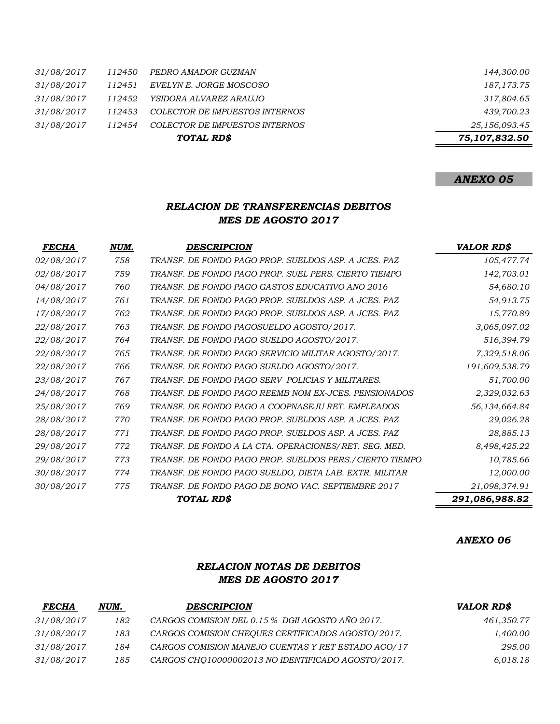|        | TOTAL RD\$                     | 75,107,832.50 |
|--------|--------------------------------|---------------|
| 112454 | COLECTOR DE IMPUESTOS INTERNOS | 25,156,093.45 |
| 112453 | COLECTOR DE IMPUESTOS INTERNOS | 439,700.23    |
| 112452 | YSIDORA ALVAREZ ARAUJO         | 317,804.65    |
| 112451 | EVELYN E. JORGE MOSCOSO        | 187,173.75    |
| 112450 | PEDRO AMADOR GUZMAN            | 144,300.00    |
|        |                                |               |

# *ANEXO 05*

### *RELACION DE TRANSFERENCIAS DEBITOS MES DE AGOSTO 2017*

| <b>FECHA</b>      | NUM. | <b>DESCRIPCION</b>                                       | <b>VALOR RD\$</b> |
|-------------------|------|----------------------------------------------------------|-------------------|
| 02/08/2017        | 758  | TRANSF. DE FONDO PAGO PROP. SUELDOS ASP. A JCES. PAZ     | 105,477.74        |
| 02/08/2017        | 759  | TRANSF. DE FONDO PAGO PROP. SUEL PERS. CIERTO TIEMPO     | 142,703.01        |
| 04/08/2017        | 760  | TRANSF. DE FONDO PAGO GASTOS EDUCATIVO ANO 2016          | 54,680.10         |
| 14/08/2017        | 761  | TRANSF. DE FONDO PAGO PROP. SUELDOS ASP. A JCES. PAZ     | 54,913.75         |
| 17/08/2017        | 762  | TRANSF. DE FONDO PAGO PROP. SUELDOS ASP. A JCES. PAZ     | 15,770.89         |
| 22/08/2017        | 763  | TRANSF. DE FONDO PAGOSUELDO AGOSTO/2017.                 | 3,065,097.02      |
| 22/08/2017        | 764  | TRANSF. DE FONDO PAGO SUELDO AGOSTO/2017.                | 516,394.79        |
| 22/08/2017        | 765  | TRANSF. DE FONDO PAGO SERVICIO MILITAR AGOSTO/2017.      | 7,329,518.06      |
| 22/08/2017        | 766  | TRANSF. DE FONDO PAGO SUELDO AGOSTO/2017.                | 191,609,538.79    |
| 23/08/2017        | 767  | TRANSF. DE FONDO PAGO SERV POLICIAS Y MILITARES.         | 51,700.00         |
| 24/08/2017        | 768  | TRANSF. DE FONDO PAGO REEMB NOM EX-JCES. PENSIONADOS     | 2,329,032.63      |
| 25/08/2017        | 769  | TRANSF. DE FONDO PAGO A COOPNASEJU RET. EMPLEADOS        | 56,134,664.84     |
| 28/08/2017        | 770  | TRANSF. DE FONDO PAGO PROP. SUELDOS ASP. A JCES. PAZ     | 29,026.28         |
| 28/08/2017        | 771  | TRANSF. DE FONDO PAGO PROP. SUELDOS ASP. A JCES. PAZ     | 28,885.13         |
| 29/08/2017        | 772  | TRANSF. DE FONDO A LA CTA. OPERACIONES/RET. SEG. MED.    | 8,498,425.22      |
| <i>29/08/2017</i> | 773  | TRANSF. DE FONDO PAGO PROP. SUELDOS PERS./ CIERTO TIEMPO | 10,785.66         |
| 30/08/2017        | 774  | TRANSF. DE FONDO PAGO SUELDO, DIETA LAB. EXTR. MILITAR   | 12,000.00         |
| 30/08/2017        | 775  | TRANSF. DE FONDO PAGO DE BONO VAC. SEPTIEMBRE 2017       | 21,098,374.91     |
|                   |      | TOTAL RD\$                                               | 291,086,988.82    |

#### *ANEXO 06*

## *RELACION NOTAS DE DEBITOS MES DE AGOSTO 2017*

| <b>FECHA</b> | NUM. | <b>DESCRIPCION</b>                                 | <b>VALOR RD\$</b> |
|--------------|------|----------------------------------------------------|-------------------|
| 31/08/2017   | 182  | CARGOS COMISION DEL 0.15 % DGII AGOSTO AÑO 2017.   | 461,350.77        |
| 31/08/2017   | 183  | CARGOS COMISION CHEOUES CERTIFICADOS AGOSTO/2017.  | 1,400.00          |
| 31/08/2017   | 184  | CARGOS COMISION MANEJO CUENTAS Y RET ESTADO AGO/17 | 295.00            |
| 31/08/2017   | 185  | CARGOS CHO10000002013 NO IDENTIFICADO AGOSTO/2017. | 6,018.18          |